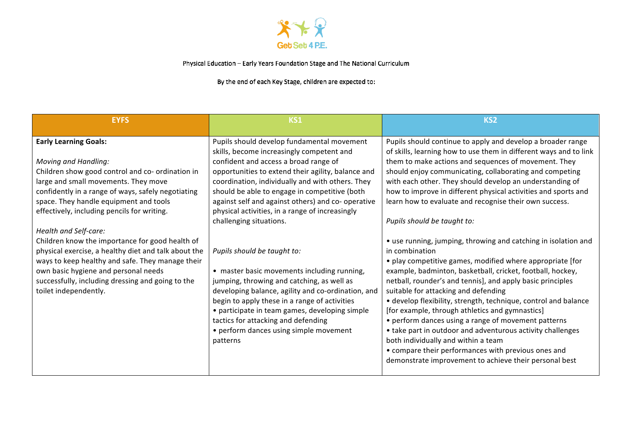

Physical Education - Early Years Foundation Stage and The National Curriculum

By the end of each Key Stage, children are expected to:

| <b>EYFS</b>                                                                                                                                                                                                                                                                                                                                                                                                                                                                                                                                                                                                          | KS1                                                                                                                                                                                                                                                                                                                                                                                                                                                                                                                                                                                                                                                                                                                                                                                                               | KS <sub>2</sub>                                                                                                                                                                                                                                                                                                                                                                                                                                                                                                                                                                                                                                                                                                                                                                                                                                                                                                                                                                                                                                                                                                                                                                                    |
|----------------------------------------------------------------------------------------------------------------------------------------------------------------------------------------------------------------------------------------------------------------------------------------------------------------------------------------------------------------------------------------------------------------------------------------------------------------------------------------------------------------------------------------------------------------------------------------------------------------------|-------------------------------------------------------------------------------------------------------------------------------------------------------------------------------------------------------------------------------------------------------------------------------------------------------------------------------------------------------------------------------------------------------------------------------------------------------------------------------------------------------------------------------------------------------------------------------------------------------------------------------------------------------------------------------------------------------------------------------------------------------------------------------------------------------------------|----------------------------------------------------------------------------------------------------------------------------------------------------------------------------------------------------------------------------------------------------------------------------------------------------------------------------------------------------------------------------------------------------------------------------------------------------------------------------------------------------------------------------------------------------------------------------------------------------------------------------------------------------------------------------------------------------------------------------------------------------------------------------------------------------------------------------------------------------------------------------------------------------------------------------------------------------------------------------------------------------------------------------------------------------------------------------------------------------------------------------------------------------------------------------------------------------|
| <b>Early Learning Goals:</b><br><b>Moving and Handling:</b><br>Children show good control and co- ordination in<br>large and small movements. They move<br>confidently in a range of ways, safely negotiating<br>space. They handle equipment and tools<br>effectively, including pencils for writing.<br>Health and Self-care:<br>Children know the importance for good health of<br>physical exercise, a healthy diet and talk about the<br>ways to keep healthy and safe. They manage their<br>own basic hygiene and personal needs<br>successfully, including dressing and going to the<br>toilet independently. | Pupils should develop fundamental movement<br>skills, become increasingly competent and<br>confident and access a broad range of<br>opportunities to extend their agility, balance and<br>coordination, individually and with others. They<br>should be able to engage in competitive (both<br>against self and against others) and co- operative<br>physical activities, in a range of increasingly<br>challenging situations.<br>Pupils should be taught to:<br>• master basic movements including running,<br>jumping, throwing and catching, as well as<br>developing balance, agility and co-ordination, and<br>begin to apply these in a range of activities<br>• participate in team games, developing simple<br>tactics for attacking and defending<br>• perform dances using simple movement<br>patterns | Pupils should continue to apply and develop a broader range<br>of skills, learning how to use them in different ways and to link<br>them to make actions and sequences of movement. They<br>should enjoy communicating, collaborating and competing<br>with each other. They should develop an understanding of<br>how to improve in different physical activities and sports and<br>learn how to evaluate and recognise their own success.<br>Pupils should be taught to:<br>• use running, jumping, throwing and catching in isolation and<br>in combination<br>• play competitive games, modified where appropriate [for<br>example, badminton, basketball, cricket, football, hockey,<br>netball, rounder's and tennis], and apply basic principles<br>suitable for attacking and defending<br>• develop flexibility, strength, technique, control and balance<br>[for example, through athletics and gymnastics]<br>• perform dances using a range of movement patterns<br>• take part in outdoor and adventurous activity challenges<br>both individually and within a team<br>• compare their performances with previous ones and<br>demonstrate improvement to achieve their personal best |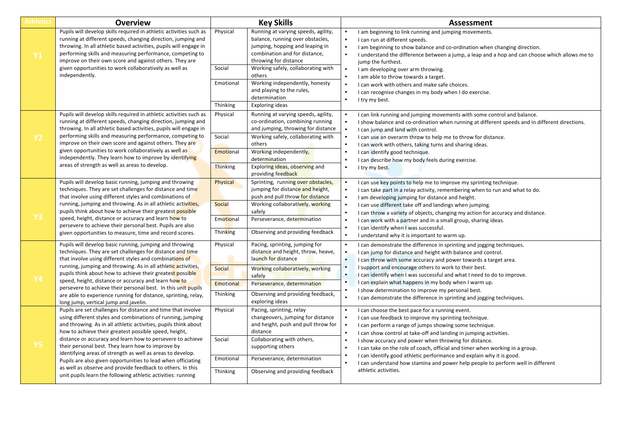| Athletics | <b>Overview</b>                                                                                                                                                                                                                                                                                                                                                                                                                                                                                                                                                                                                                        | <b>Key Skills</b>                                  |                                                                                                                                                                                                                                                                  | <b>Assessment</b>                                                                                                                                                                                                                                                                                                                                                                                                                                                                                                                                                   |
|-----------|----------------------------------------------------------------------------------------------------------------------------------------------------------------------------------------------------------------------------------------------------------------------------------------------------------------------------------------------------------------------------------------------------------------------------------------------------------------------------------------------------------------------------------------------------------------------------------------------------------------------------------------|----------------------------------------------------|------------------------------------------------------------------------------------------------------------------------------------------------------------------------------------------------------------------------------------------------------------------|---------------------------------------------------------------------------------------------------------------------------------------------------------------------------------------------------------------------------------------------------------------------------------------------------------------------------------------------------------------------------------------------------------------------------------------------------------------------------------------------------------------------------------------------------------------------|
| <b>Y1</b> | Pupils will develop skills required in athletic activities such as<br>running at different speeds, changing direction, jumping and<br>throwing. In all athletic based activities, pupils will engage in<br>performing skills and measuring performance, competing to<br>improve on their own score and against others. They are<br>given opportunities to work collaboratively as well as<br>independently.                                                                                                                                                                                                                            | Physical<br>Social                                 | Running at varying speeds, agility,<br>balance, running over obstacles,<br>jumping, hopping and leaping in<br>combination and for distance,<br>throwing for distance<br>Working safely, collaborating with<br>others                                             | I am beginning to link running and jumping movements.<br>I can run at different speeds.<br>I am beginning to show balance and co-ordination when changing direction.<br>I understand the difference between a jump, a leap and a hop and can choose which allows me to<br>jump the furthest.<br>I am developing over arm throwing.<br>I am able to throw towards a target.                                                                                                                                                                                          |
|           |                                                                                                                                                                                                                                                                                                                                                                                                                                                                                                                                                                                                                                        | Emotional<br>Thinking                              | Working independently, honesty<br>and playing to the rules,<br>determination<br>Exploring ideas                                                                                                                                                                  | I can work with others and make safe choices.<br>I can recognise changes in my body when I do exercise.<br>I try my best.                                                                                                                                                                                                                                                                                                                                                                                                                                           |
| <b>Y2</b> | Pupils will develop skills required in athletic activities such as<br>running at different speeds, changing direction, jumping and<br>throwing. In all athletic based activities, pupils will engage in<br>performing skills and measuring performance, competing to<br>improve on their own score and against others. They are<br>given opportunities to work collaboratively as well as<br>independently. They learn how to improve by identifying<br>areas of strength as well as areas to develop.                                                                                                                                 | Physical<br>Social<br>Emotional<br><b>Thinking</b> | Running at varying speeds, agility,<br>co-ordination, combining running<br>and jumping, throwing for distance<br>Working safely, collaborating with<br>others<br>Working independently,<br>determination<br>Exploring ideas, observing and<br>providing feedback | I can link running and jumping movements with some control and balance.<br>I show balance and co-ordination when running at different speeds and in different directions.<br>I can jump and land with control.<br>I can use an overarm throw to help me to throw for distance.<br>I can work with others, taking turns and sharing ideas.<br>I can identify good technique.<br>I can describe how my body feels during exercise.<br>I try my best.                                                                                                                  |
| <b>Y3</b> | Pupils will develop basic running, jumping and throwing<br>techniques. They are set challenges for distance and time<br>that involve using different styles and combinations of<br>running, jumping and throwing. As in all athletic activities,<br>pupils think about how to achieve their greatest possible<br>speed, height, distance or accuracy and learn how to<br>persevere to achieve their personal best. Pupils are also<br>given opportunities to measure, time and record scores.                                                                                                                                          | Physical<br>Social<br>Emotional<br>Thinking        | Sprinting, running over obstacles,<br>jumping for distance and height,<br>push and pull throw for distance<br>Working collaboratively, working<br>safely<br>Perseverance, determination<br>Observing and providing feedback                                      | I can use key points to help me to improve my sprinting technique.<br>I can take part in a relay activity, remembering when to run and what to do.<br>I am developing jumping for distance and height.<br>I can use different take off and landings when jumping.<br>I can throw a variety of objects, changing my action for accuracy and distance.<br>I can work with a partner and in a small group, sharing ideas.<br>I can identify when I was successful.<br>I understand why it is important to warm up.                                                     |
| <b>Y4</b> | Pupils will develop basic running, jumping and throwing<br>techniques. They are set challenges for distance and time<br>that involve using different styles and combinations of<br>running, jumping and throwing. As in all athletic activities,<br>pupils think about how to achieve their greatest possible<br>speed, height, distance or accuracy and learn how to<br>persevere to achieve their personal best. In this unit pupils<br>are able to experience running for distance, sprinting, relay,<br>long jump, vertical jump and javelin.                                                                                      | Physical<br>Social<br>Emotional<br>Thinking        | Pacing, sprinting, jumping for<br>distance and height, throw, heave,<br>launch for distance<br>Working collaboratively, working<br>safely<br>Perseverance, determination<br>Observing and providing feedback,<br>exploring ideas                                 | I can demonstrate the difference in sprinting and jogging techniques.<br>I can jump for distance and height with balance and control.<br>I can throw with some accuracy and power towards a target area.<br>I support and encourage others to work to their best.<br>I can identify when I was successful and what I need to do to improve.<br>I can explain what happens in my body when I warm up.<br>I show determination to improve my personal best.<br>I can demonstrate the difference in sprinting and jogging techniques.                                  |
| <b>Y5</b> | Pupils are set challenges for distance and time that involve<br>using different styles and combinations of running, jumping<br>and throwing. As in all athletic activities, pupils think about<br>how to achieve their greatest possible speed, height,<br>distance or accuracy and learn how to persevere to achieve<br>their personal best. They learn how to improve by<br>identifying areas of strength as well as areas to develop.<br>Pupils are also given opportunities to lead when officiating<br>as well as observe and provide feedback to others. In this<br>unit pupils learn the following athletic activities: running | Physical<br>Social<br>Emotional<br>Thinking        | Pacing, sprinting, relay<br>changeovers, jumping for distance<br>and height, push and pull throw for<br>distance<br>Collaborating with others,<br>supporting others<br>Perseverance, determination<br>Observing and providing feedback                           | I can choose the best pace for a running event.<br>I can use feedback to improve my sprinting technique.<br>I can perform a range of jumps showing some technique.<br>I can show control at take-off and landing in jumping activities.<br>I show accuracy and power when throwing for distance.<br>I can take on the role of coach, official and timer when working in a group.<br>I can identify good athletic performance and explain why it is good.<br>I can understand how stamina and power help people to perform well in different<br>athletic activities. |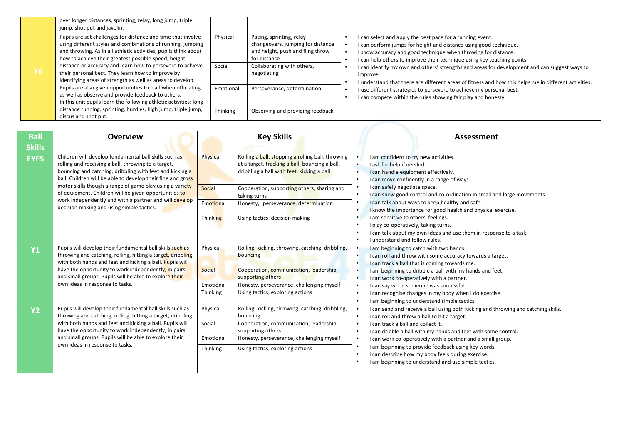|      | over longer distances, sprinting, relay, long jump, triple<br>jump, shot put and javelin.                                                                                                                                                                                                                             |                    |                                                                                                                                                 |                                                                                                                                                                                                                                                                                                                                                                              |
|------|-----------------------------------------------------------------------------------------------------------------------------------------------------------------------------------------------------------------------------------------------------------------------------------------------------------------------|--------------------|-------------------------------------------------------------------------------------------------------------------------------------------------|------------------------------------------------------------------------------------------------------------------------------------------------------------------------------------------------------------------------------------------------------------------------------------------------------------------------------------------------------------------------------|
| Y6 ' | Pupils are set challenges for distance and time that involve<br>using different styles and combinations of running, jumping<br>and throwing. As in all athletic activities, pupils think about<br>how to achieve their greatest possible speed, height,<br>distance or accuracy and learn how to persevere to achieve | Physical<br>Social | Pacing, sprinting, relay<br>changeovers, jumping for distance<br>and height, push and fling throw<br>for distance<br>Collaborating with others, | I can select and apply the best pace for a running event.<br>I can perform jumps for height and distance using good technique.<br>I show accuracy and good technique when throwing for distance.<br>I can help others to improve their technique using key teaching points.<br>I can identify my own and others' strengths and areas for development and can suggest ways to |
|      | their personal best. They learn how to improve by<br>identifying areas of strength as well as areas to develop.                                                                                                                                                                                                       |                    | negotiating                                                                                                                                     | improve.<br>I understand that there are different areas of fitness and how this helps me in different activities.                                                                                                                                                                                                                                                            |
|      | Pupils are also given opportunities to lead when officiating<br>as well as observe and provide feedback to others.<br>In this unit pupils learn the following athletic activities: long                                                                                                                               | Emotional          | Perseverance, determination                                                                                                                     | I use different strategies to persevere to achieve my personal best.<br>I can compete within the rules showing fair play and honesty.                                                                                                                                                                                                                                        |
|      | distance running, sprinting, hurdles, high jump, triple jump,<br>discus and shot put.                                                                                                                                                                                                                                 | Thinking           | Observing and providing feedback                                                                                                                |                                                                                                                                                                                                                                                                                                                                                                              |

| <b>Ball</b>   | <b>Overview</b>                                                                                                                                                                                                                                                                                                                           | <b>Key Skills</b>                                                            |                                                                                                                                                                              |                                                                                                      | Assessment                                                                                                                                                                                                                                                                                                                                                                                                                                                                    |
|---------------|-------------------------------------------------------------------------------------------------------------------------------------------------------------------------------------------------------------------------------------------------------------------------------------------------------------------------------------------|------------------------------------------------------------------------------|------------------------------------------------------------------------------------------------------------------------------------------------------------------------------|------------------------------------------------------------------------------------------------------|-------------------------------------------------------------------------------------------------------------------------------------------------------------------------------------------------------------------------------------------------------------------------------------------------------------------------------------------------------------------------------------------------------------------------------------------------------------------------------|
| <b>Skills</b> |                                                                                                                                                                                                                                                                                                                                           |                                                                              |                                                                                                                                                                              |                                                                                                      |                                                                                                                                                                                                                                                                                                                                                                                                                                                                               |
| <b>EYFS</b>   | Children will develop fundamental ball skills such as<br>rolling and receiving a ball, throwing to a target,<br>bouncing and catching, dribbling with feet and kicking a<br>ball. Children will be able to develop their fine and gross                                                                                                   | Physical                                                                     | Rolling a ball, stopping a rolling ball, throwing<br>at a target, tracking a ball, bouncing a ball,<br>dribbling a ball with feet, kicking a ball                            | $\bullet$<br>$\bullet$<br>$\bullet$                                                                  | I am confident to try new activities.<br>I ask for help if needed.<br>I can handle equipment effectively.<br>I can move confidently in a range of ways.                                                                                                                                                                                                                                                                                                                       |
|               | motor skills though a range of game play using a variety<br>of equipment. Children will be given opportunities to<br>work independently and with a partner and will develop<br>decision making and using simple tactics.                                                                                                                  | Social<br>taking turns<br>Emotional                                          | Cooperation, supporting others, sharing and<br>Honesty, perseverance, determination                                                                                          | $\bullet$                                                                                            | I can safely negotiate space.<br>I can show good control and co-ordination in small and large movements.<br>I can talk about ways to keep healthy and safe.<br>I know the importance for good health and physical exercise.                                                                                                                                                                                                                                                   |
|               |                                                                                                                                                                                                                                                                                                                                           | Thinking                                                                     | Using tactics, decision making                                                                                                                                               | $\bullet$<br>$\bullet$<br>$\bullet$<br>$\bullet$                                                     | I am sensitive to others' feelings.<br>I play co-operatively, taking turns.<br>I can talk about my own ideas and use them in response to a task.<br>I understand and follow rules.                                                                                                                                                                                                                                                                                            |
| <b>Y1</b>     | Pupils will develop their fundamental ball skills such as<br>throwing and catching, rolling, hitting a target, dribbling<br>with both hands and feet and kicking a ball. Pupils will<br>have the opportunity to work independently, in pairs<br>and small groups. Pupils will be able to explore their<br>own ideas in response to tasks. | Physical<br>bouncing<br>Social<br>supporting others<br>Emotional<br>Thinking | Rolling, kicking, throwing, catching, dribbling,<br>Cooperation, communication, leadership,<br>Honesty, perseverance, challenging myself<br>Using tactics, exploring actions | $\bullet$<br>$\bullet$<br>$\bullet$<br>$\bullet$<br>$\bullet$<br>$\bullet$<br>$\bullet$<br>$\bullet$ | I am beginning to catch with two hands.<br>I can roll and throw with some accuracy towards a target.<br>I can track a ball that is coming towards me.<br>I am beginning to dribble a ball with my hands and feet.<br>I can work co-operatively with a partner.<br>I can say when someone was successful.<br>I can recognise changes in my body when I do exercise.<br>I am beginning to understand simple tactics.                                                            |
| <b>Y2</b>     | Pupils will develop their fundamental ball skills such as<br>throwing and catching, rolling, hitting a target, dribbling<br>with both hands and feet and kicking a ball. Pupils will<br>have the opportunity to work independently, in pairs<br>and small groups. Pupils will be able to explore their<br>own ideas in response to tasks. | Physical<br>bouncing<br>Social<br>supporting others<br>Emotional<br>Thinking | Rolling, kicking, throwing, catching, dribbling,<br>Cooperation, communication, leadership,<br>Honesty, perseverance, challenging myself<br>Using tactics, exploring actions | $\bullet$<br>$\bullet$<br>$\bullet$<br>$\bullet$<br>$\bullet$                                        | I can send and receive a ball using both kicking and throwing and catching skills.<br>I can roll and throw a ball to hit a target.<br>I can track a ball and collect it.<br>I can dribble a ball with my hands and feet with some control.<br>I can work co-operatively with a partner and a small group.<br>I am beginning to provide feedback using key words.<br>I can describe how my body feels during exercise.<br>I am beginning to understand and use simple tactics. |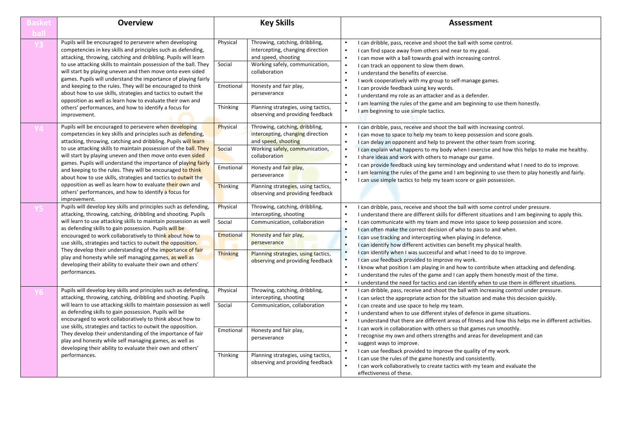| 3asket        | <b>Overview</b>                                                                                                                                                                                                                                                                                                            | <b>Key Skills</b>                                                                                                                                                                                                                                                  |                                                                                                                                              | <b>Assessment</b>                                                                                                                                                                                                                                                                                                                                                                         |  |
|---------------|----------------------------------------------------------------------------------------------------------------------------------------------------------------------------------------------------------------------------------------------------------------------------------------------------------------------------|--------------------------------------------------------------------------------------------------------------------------------------------------------------------------------------------------------------------------------------------------------------------|----------------------------------------------------------------------------------------------------------------------------------------------|-------------------------------------------------------------------------------------------------------------------------------------------------------------------------------------------------------------------------------------------------------------------------------------------------------------------------------------------------------------------------------------------|--|
| bal           |                                                                                                                                                                                                                                                                                                                            |                                                                                                                                                                                                                                                                    |                                                                                                                                              |                                                                                                                                                                                                                                                                                                                                                                                           |  |
|               | Pupils will be encouraged to persevere when developing<br>competencies in key skills and principles such as defending,<br>attacking, throwing, catching and dribbling. Pupils will learn<br>to use attacking skills to maintain possession of the ball. They                                                               | Physical<br>Social                                                                                                                                                                                                                                                 | Throwing, catching, dribbling,<br>intercepting, changing direction<br>and speed, shooting<br>Working safely, communication,                  | I can dribble, pass, receive and shoot the ball with some control.<br>I can find space away from others and near to my goal.<br>I can move with a ball towards goal with increasing control.<br>I can track an opponent to slow them down.                                                                                                                                                |  |
|               | will start by playing uneven and then move onto even sided<br>games. Pupils will understand the importance of playing fairly<br>and keeping to the rules. They will be encouraged to think<br>about how to use skills, strategies and tactics to outwit the<br>opposition as well as learn how to evaluate their own and   | Emotional                                                                                                                                                                                                                                                          | collaboration<br>Honesty and fair play,<br>perseverance                                                                                      | I understand the benefits of exercise.<br>I work cooperatively with my group to self-manage games.<br>I can provide feedback using key words.<br>I understand my role as an attacker and as a defender.                                                                                                                                                                                   |  |
|               | others' performances, and how to identify a focus for<br>improvement.                                                                                                                                                                                                                                                      | Thinking                                                                                                                                                                                                                                                           | Planning strategies, using tactics,<br>observing and providing feedback                                                                      | I am learning the rules of the game and am beginning to use them honestly.<br>I am beginning to use simple tactics.                                                                                                                                                                                                                                                                       |  |
|               | Pupils will be encouraged to persevere when developing<br>competencies in key skills and principles such as defending.<br>attacking, throwing, catching and dribbling. Pupils will learn<br>to use attacking skills to maintain possession of the ball. They<br>will start by playing uneven and then move onto even sided | Physical<br>Social                                                                                                                                                                                                                                                 | Throwing, catching, dribbling,<br>intercepting, changing direction<br>and speed, shooting<br>Working safely, communication,<br>collaboration | I can dribble, pass, receive and shoot the ball with increasing control.<br>I can move to space to help my team to keep possession and score goals.<br>I can delay an opponent and help to prevent the other team from scoring.<br>I can explain what happens to my body when I exercise and how this helps to make me healthy.<br>I share ideas and work with others to manage our game. |  |
|               | games. Pupils will understand the importance of playing fairly<br>Honesty and fair play,<br>Emotional<br>and keeping to the rules. They will be encouraged to think<br>perseverance<br>about how to use skills, strategies and tactics to outwit the<br>opposition as well as learn how to evaluate their own and          | I can provide feedback using key terminology and understand what I need to do to improve.<br>I am learning the rules of the game and I am beginning to use them to play honestly and fairly.<br>I can use simple tactics to help my team score or gain possession. |                                                                                                                                              |                                                                                                                                                                                                                                                                                                                                                                                           |  |
|               | others' performances, and how to identify a focus for<br>improvement.                                                                                                                                                                                                                                                      | Thinking                                                                                                                                                                                                                                                           | Planning strategies, using tactics,<br>observing and providing feedback                                                                      |                                                                                                                                                                                                                                                                                                                                                                                           |  |
|               | Pupils will develop key skills and principles such as defending,<br>attacking, throwing, catching, dribbling and shooting. Pupils<br>will learn to use attacking skills to maintain possession as well                                                                                                                     | Physical<br>Social                                                                                                                                                                                                                                                 | Throwing, catching, dribbling,<br>intercepting, shooting<br>Communication, collaboration                                                     | I can dribble, pass, receive and shoot the ball with some control under pressure.<br>I understand there are different skills for different situations and I am beginning to apply this.                                                                                                                                                                                                   |  |
|               | as defending skills to gain possession. Pupils will be<br>encouraged to work collaboratively to think about how to                                                                                                                                                                                                         | <b>Emotional</b>                                                                                                                                                                                                                                                   | Honesty and fair play,                                                                                                                       | I can communicate with my team and move into space to keep possession and score.<br>I can often make the correct decision of who to pass to and when.<br>I can use tracking and intercepting when playing in defence.                                                                                                                                                                     |  |
|               | use skills, strategies and tactics to outwit the opposition.<br>They develop their understanding of the importance of fair                                                                                                                                                                                                 | <b>Thinking</b>                                                                                                                                                                                                                                                    | perseverance<br>Planning strategies, using tactics,                                                                                          | I can identify how different activities can benefit my physical health.<br>I can identify when I was successful and what I need to do to improve.                                                                                                                                                                                                                                         |  |
|               | play and honesty while self managing games, as well as<br>developing their ability to evaluate their own and others'<br>performances.                                                                                                                                                                                      |                                                                                                                                                                                                                                                                    | observing and providing feedback                                                                                                             | I can use feedback provided to improve my work.<br>I know what position I am playing in and how to contribute when attacking and defending.<br>I understand the rules of the game and I can apply them honestly most of the time.<br>I understand the need for tactics and can identify when to use them in different situations.                                                         |  |
|               | Pupils will develop key skills and principles such as defending,<br>attacking, throwing, catching, dribbling and shooting. Pupils                                                                                                                                                                                          | Physical                                                                                                                                                                                                                                                           | Throwing, catching, dribbling,<br>intercepting, shooting                                                                                     | I can dribble, pass, receive and shoot the ball with increasing control under pressure.<br>I can select the appropriate action for the situation and make this decision quickly.                                                                                                                                                                                                          |  |
| performances. | will learn to use attacking skills to maintain possession as well<br>as defending skills to gain possession. Pupils will be<br>encouraged to work collaboratively to think about how to                                                                                                                                    | Social                                                                                                                                                                                                                                                             | Communication, collaboration                                                                                                                 | I can create and use space to help my team.<br>I understand when to use different styles of defence in game situations.<br>I understand that there are different areas of fitness and how this helps me in different activities.                                                                                                                                                          |  |
|               | use skills, strategies and tactics to outwit the opposition.<br>They develop their understanding of the importance of fair<br>play and honesty while self managing games, as well as<br>developing their ability to evaluate their own and others'                                                                         | Emotional                                                                                                                                                                                                                                                          | Honesty and fair play,<br>perseverance                                                                                                       | I can work in collaboration with others so that games run smoothly.<br>I recognise my own and others strengths and areas for development and can<br>suggest ways to improve.                                                                                                                                                                                                              |  |
|               |                                                                                                                                                                                                                                                                                                                            | Thinking                                                                                                                                                                                                                                                           | Planning strategies, using tactics,<br>observing and providing feedback                                                                      | I can use feedback provided to improve the quality of my work.<br>I can use the rules of the game honestly and consistently.<br>I can work collaboratively to create tactics with my team and evaluate the<br>effectiveness of these.                                                                                                                                                     |  |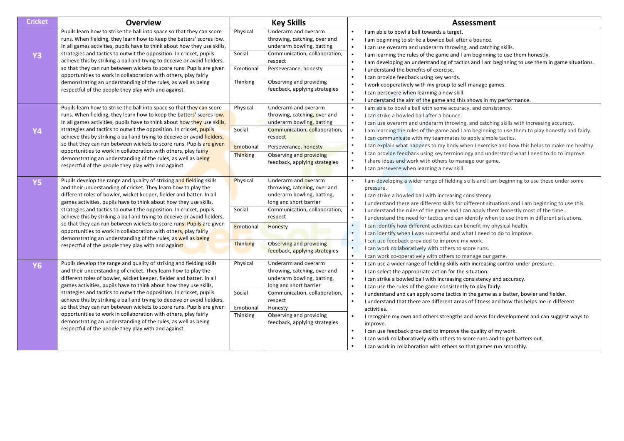| <b>Cricket</b> | <b>Overview</b>                                                                                                                                                                                                                                                                     | <b>Key Skills</b>            |                                                                                                              |                                                  | <b>Assessment</b>                                                                                                                                                                                                                                                                    |  |  |
|----------------|-------------------------------------------------------------------------------------------------------------------------------------------------------------------------------------------------------------------------------------------------------------------------------------|------------------------------|--------------------------------------------------------------------------------------------------------------|--------------------------------------------------|--------------------------------------------------------------------------------------------------------------------------------------------------------------------------------------------------------------------------------------------------------------------------------------|--|--|
|                | Pupils learn how to strike the ball into space so that they can score<br>runs. When fielding, they learn how to keep the batters' scores low.<br>In all games activities, pupils have to think about how they use skills,                                                           | Physical                     | Underarm and overarm<br>throwing, catching, over and<br>underarm bowling, batting                            | $\bullet$                                        | I am able to bowl a ball towards a target.<br>I am beginning to strike a bowled ball after a bounce.<br>I can use overarm and underarm throwing, and catching skills.                                                                                                                |  |  |
| <b>Y3</b>      | strategies and tactics to outwit the opposition. In cricket, pupils<br>achieve this by striking a ball and trying to deceive or avoid fielders,                                                                                                                                     | Social                       | Communication, collaboration,<br>respect                                                                     |                                                  | I am learning the rules of the game and I am beginning to use them honestly.<br>I am developing an understanding of tactics and I am beginning to use them in game situations.                                                                                                       |  |  |
|                | so that they can run between wickets to score runs. Pupils are given<br>opportunities to work in collaboration with others, play fairly                                                                                                                                             | Emotional                    | Perseverance, honesty                                                                                        | $\bullet$<br>$\bullet$                           | I understand the benefits of exercise.<br>I can provide feedback using key words.                                                                                                                                                                                                    |  |  |
|                | demonstrating an understanding of the rules, as well as being<br>respectful of the people they play with and against.                                                                                                                                                               | Thinking                     | Observing and providing<br>feedback, applying strategies                                                     | $\bullet$<br>$\bullet$<br>$\bullet$              | I work cooperatively with my group to self-manage games.<br>I can persevere when learning a new skill.<br>I understand the aim of the game and this shows in my performance.                                                                                                         |  |  |
|                | Pupils learn how to strike the ball into space so that they can score<br>runs. When fielding, they learn how to keep the batters' scores low.<br>In all games activities, pupils have to think about how they use skills,                                                           | Physical                     | Underarm and overarm<br>throwing, catching, over and<br>underarm bowling, batting                            | $\bullet$<br>$\bullet$<br>$\bullet$              | I am able to bowl a ball with some accuracy, and consistency.<br>I can strike a bowled ball after a bounce.<br>I can use overarm and underarm throwing, and catching skills with increasing accuracy.                                                                                |  |  |
| <b>Y4</b>      | strategies and tactics to outwit the opposition. In cricket, pupils<br>achieve this by striking a ball and trying to deceive or avoid fielders,                                                                                                                                     | Social                       | Communication, collaboration,<br>respect                                                                     | $\bullet$                                        | I am learning the rules of the game and I am beginning to use them to play honestly and fairly.<br>I can communicate with my teammates to apply simple tactics.                                                                                                                      |  |  |
|                | so that they can run between wickets to score runs. Pupils are given<br>opportunities to work in collaboration with others, play fairly<br>demonstrating an understanding of the rules, as well as being                                                                            | Emotional<br><b>Thinking</b> | Perseverance, honesty<br>Observing and providing                                                             | $\bullet$<br>$\bullet$                           | I can explain what happens to my body when I exercise and how this helps to make me healthy.<br>I can provide feedback using key terminology and understand what I need to do to improve.                                                                                            |  |  |
|                | respectful of the people they play with and against.                                                                                                                                                                                                                                |                              | feedback, applying strategies                                                                                | $\bullet$                                        | I share ideas and work with others to manage our game.<br>I can persevere when learning a new skill.                                                                                                                                                                                 |  |  |
| <b>Y5</b>      | Pupils develop the range and quality of striking and fielding skills<br>and their understanding of cricket. They learn how to play the<br>different roles of bowler, wicket keeper, fielder and batter. In all<br>games activities, pupils have to think about how they use skills, | Physical                     | Underarm and overarm<br>throwing, catching, over and<br>underarm bowling, batting,<br>long and short barrier | $\bullet$<br>$\bullet$<br>$\bullet$              | I am developing a wider range of fielding skills and I am beginning to use these under some<br>pressure.<br>I can strike a bowled ball with increasing consistency.<br>I understand there are different skills for different situations and I am beginning to use this.              |  |  |
|                | strategies and tactics to outwit the opposition. In cricket, pupils<br>achieve this by striking a ball and trying to deceive or avoid fielders,                                                                                                                                     | Social                       | Communication, collaboration,<br>respect                                                                     | $\bullet$<br>$\bullet$                           | I understand the rules of the game and I can apply them honestly most of the time.<br>I understand the need for tactics and can identify when to use them in different situations.                                                                                                   |  |  |
|                | so that they can run between wickets to score runs. Pupils are given<br>opportunities to work in collaboration with others, play fairly<br>demonstrating an understanding of the rules, as well as being                                                                            | Emotional                    | Honesty                                                                                                      | $\bullet$<br>$\bullet$                           | I can identify how different activities can benefit my physical health.<br>I can identify when I was successful and what I need to do to improve.                                                                                                                                    |  |  |
|                | respectful of the people they play with and against.                                                                                                                                                                                                                                | Thinking                     | Observing and providing<br>feedback, applying strategies                                                     | $\bullet$<br>$\bullet$                           | I can use feedback provided to improve my work.<br>I can work collaboratively with others to score runs.<br>I can work co-operatively with others to manage our game.                                                                                                                |  |  |
| <b>Y6</b>      | Pupils develop the range and quality of striking and fielding skills<br>and their understanding of cricket. They learn how to play the<br>different roles of bowler, wicket keeper, fielder and batter. In all<br>games activities, pupils have to think about how they use skills, | Physical                     | Underarm and overarm<br>throwing, catching, over and<br>underarm bowling, batting,<br>long and short barrier | $\bullet$<br>$\bullet$<br>$\bullet$<br>$\bullet$ | I can use a wider range of fielding skills with increasing control under pressure.<br>I can select the appropriate action for the situation.<br>I can strike a bowled ball with increasing consistency and accuracy.<br>I can use the rules of the game consistently to play fairly. |  |  |
|                | strategies and tactics to outwit the opposition. In cricket, pupils<br>achieve this by striking a ball and trying to deceive or avoid fielders,<br>so that they can run between wickets to score runs. Pupils are given                                                             | Social<br>Emotional          | Communication, collaboration,<br>respect<br>Honesty                                                          | $\bullet$                                        | I understand and can apply some tactics in the game as a batter, bowler and fielder.<br>I understand that there are different areas of fitness and how this helps me in different<br>activities.                                                                                     |  |  |
|                | opportunities to work in collaboration with others, play fairly<br>demonstrating an understanding of the rules, as well as being<br>respectful of the people they play with and against.                                                                                            | Thinking                     | Observing and providing<br>feedback, applying strategies                                                     | $\bullet$<br>$\bullet$                           | I recognise my own and others strengths and areas for development and can suggest ways to<br>improve.<br>I can use feedback provided to improve the quality of my work.                                                                                                              |  |  |
|                |                                                                                                                                                                                                                                                                                     |                              |                                                                                                              | $\bullet$                                        | I can work collaboratively with others to score runs and to get batters out.<br>I can work in collaboration with others so that games run smoothly.                                                                                                                                  |  |  |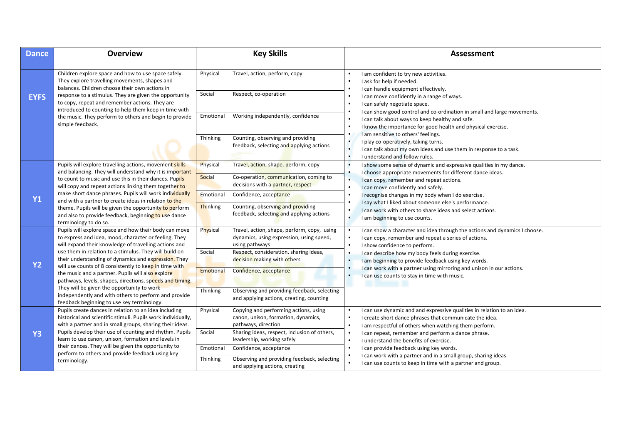| <b>Dance</b>   | <b>Overview</b>                                                                                                                                                                                                                                                                                                                                                                                                                           |                 | <b>Key Skills</b>                                                                                         | <b>Assessment</b>                                                                                                                                                                                                                      |
|----------------|-------------------------------------------------------------------------------------------------------------------------------------------------------------------------------------------------------------------------------------------------------------------------------------------------------------------------------------------------------------------------------------------------------------------------------------------|-----------------|-----------------------------------------------------------------------------------------------------------|----------------------------------------------------------------------------------------------------------------------------------------------------------------------------------------------------------------------------------------|
|                | Children explore space and how to use space safely.<br>They explore travelling movements, shapes and<br>balances. Children choose their own actions in                                                                                                                                                                                                                                                                                    | Physical        | Travel, action, perform, copy                                                                             | I am confident to try new activities.<br>$\bullet$<br>I ask for help if needed.<br>$\bullet$<br>I can handle equipment effectively.<br>$\bullet$                                                                                       |
| <b>EYFS</b>    | response to a stimulus. They are given the opportunity<br>to copy, repeat and remember actions. They are<br>introduced to counting to help them keep in time with                                                                                                                                                                                                                                                                         | Social          | Respect, co-operation                                                                                     | I can move confidently in a range of ways.<br>$\bullet$<br>I can safely negotiate space.<br>$\bullet$                                                                                                                                  |
|                | the music. They perform to others and begin to provide<br>simple feedback.                                                                                                                                                                                                                                                                                                                                                                | Emotional       | Working independently, confidence                                                                         | I can show good control and co-ordination in small and large movements.<br>$\bullet$<br>I can talk about ways to keep healthy and safe.<br>$\bullet$<br>I know the importance for good health and physical exercise.<br>$\bullet$      |
|                |                                                                                                                                                                                                                                                                                                                                                                                                                                           | Thinking        | Counting, observing and providing<br>feedback, selecting and applying actions                             | I am sensitive to others' feelings.<br>$\bullet$<br>I play co-operatively, taking turns.<br>$\bullet$<br>$\bullet$<br>I can talk about my own ideas and use them in response to a task.<br>I understand and follow rules.<br>$\bullet$ |
|                | Pupils will explore travelling actions, movement skills                                                                                                                                                                                                                                                                                                                                                                                   | Physical        | Travel, action, shape, perform, copy                                                                      | I show some sense of dynamic and expressive qualities in my dance.<br>$\bullet$                                                                                                                                                        |
| <b>Y1</b>      | and balancing. They will understand why it is important<br>to count to music and use this in their dances. Pupils<br>will copy and repeat actions linking them together to<br>make short dance phrases. Pupils will work individually<br>and with a partner to create ideas in relation to the<br>theme. Pupils will be given the opportunity to perform<br>and also to provide feedback, beginning to use dance<br>terminology to do so. | Social          | Co-operation, communication, coming to<br>decisions with a partner, respect                               | I choose appropriate movements for different dance ideas.<br>٠<br>$\bullet$<br>I can copy, remember and repeat actions.<br>$\bullet$<br>I can move confidently and safely.                                                             |
|                |                                                                                                                                                                                                                                                                                                                                                                                                                                           | Emotional       | Confidence, acceptance                                                                                    | I recognise changes in my body when I do exercise.<br>$\bullet$                                                                                                                                                                        |
|                |                                                                                                                                                                                                                                                                                                                                                                                                                                           | <b>Thinking</b> | Counting, observing and providing<br>feedback, selecting and applying actions                             | I say what I liked about someone else's performance.<br>$\bullet$<br>I can work with others to share ideas and select actions.<br>$\bullet$<br>$\bullet$<br>I am beginning to use counts.                                              |
|                | Pupils will explore space and how their body can move<br>to express and idea, mood, character or feeling. They<br>will expand their knowledge of travelling actions and                                                                                                                                                                                                                                                                   | Physical        | Travel, action, shape, perform, copy, using<br>dynamics, using expression, using speed,<br>using pathways | I can show a character and idea through the actions and dynamics I choose.<br>$\bullet$<br>I can copy, remember and repeat a series of actions.<br>$\bullet$<br>I show confidence to perform.<br>$\bullet$                             |
| <b>Y2</b>      | use them in relation to a stimulus. They will build on<br>their understanding of dynamics and expression. They<br>will use counts of 8 consistently to keep in time with                                                                                                                                                                                                                                                                  | Social          | Respect, consideration, sharing ideas,<br>decision making with others                                     | I can describe how my body feels during exercise.<br>$\bullet$<br>I am beginning to provide feedback using key words.<br>$\bullet$                                                                                                     |
|                | the music and a partner. Pupils will also explore<br>pathways, levels, shapes, directions, speeds and timing.                                                                                                                                                                                                                                                                                                                             | Emotional       | Confidence, acceptance                                                                                    | I can work with a partner using mirroring and unison in our actions.<br>$\bullet$<br>I can use counts to stay in time with music.<br>$\bullet$                                                                                         |
|                | They will be given the opportunity to work<br>independently and with others to perform and provide<br>feedback beginning to use key terminology.                                                                                                                                                                                                                                                                                          | Thinking        | Observing and providing feedback, selecting<br>and applying actions, creating, counting                   |                                                                                                                                                                                                                                        |
|                | Pupils create dances in relation to an idea including<br>historical and scientific stimuli. Pupils work individually,<br>with a partner and in small groups, sharing their ideas.                                                                                                                                                                                                                                                         | Physical        | Copying and performing actions, using<br>canon, unison, formation, dynamics,<br>pathways, direction       | I can use dynamic and and expressive qualities in relation to an idea.<br>$\bullet$<br>$\bullet$<br>I create short dance phrases that communicate the idea.<br>I am respectful of others when watching them perform.<br>$\bullet$      |
| Y <sub>3</sub> | Pupils develop their use of counting and rhythm. Pupils<br>learn to use canon, unison, formation and levels in                                                                                                                                                                                                                                                                                                                            | Social          | Sharing ideas, respect, inclusion of others,<br>leadership, working safely                                | I can repeat, remember and perform a dance phrase.<br>$\bullet$<br>$\bullet$<br>I understand the benefits of exercise.                                                                                                                 |
|                | their dances. They will be given the opportunity to                                                                                                                                                                                                                                                                                                                                                                                       | Emotional       | Confidence, acceptance                                                                                    | $\bullet$<br>I can provide feedback using key words.                                                                                                                                                                                   |
|                | perform to others and provide feedback using key<br>terminology.                                                                                                                                                                                                                                                                                                                                                                          | Thinking        | Observing and providing feedback, selecting<br>and applying actions, creating                             | I can work with a partner and in a small group, sharing ideas.<br>$\bullet$<br>$\bullet$<br>I can use counts to keep in time with a partner and group.                                                                                 |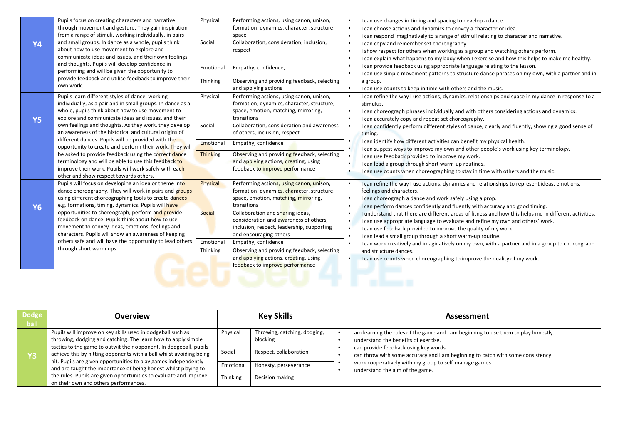| <b>Y4</b> | Pupils focus on creating characters and narrative<br>through movement and gesture. They gain inspiration<br>from a range of stimuli, working individually, in pairs<br>and small groups. In dance as a whole, pupils think<br>about how to use movement to explore and<br>communicate ideas and issues, and their own feelings<br>and thoughts. Pupils will develop confidence in<br>performing and will be given the opportunity to<br>provide feedback and utilise feedback to improve their<br>own work.                                 | Physical<br>Social<br>Emotional<br>Thinking        | Performing actions, using canon, unison,<br>formation, dynamics, character, structure,<br>space<br>Collaboration, consideration, inclusion,<br>respect<br>Empathy, confidence,<br>Observing and providing feedback, selecting<br>and applying actions                                                                                                                                                                                                 | I can use changes in timing and spacing to develop a dance.<br>I can choose actions and dynamics to convey a character or idea.<br>I can respond imaginatively to a range of stimuli relating to character and narrative.<br>I can copy and remember set choreography.<br>I show respect for others when working as a group and watching others perform.<br>I can explain what happens to my body when I exercise and how this helps to make me healthy.<br>I can provide feedback using appropriate language relating to the lesson.<br>I can use simple movement patterns to structure dance phrases on my own, with a partner and in<br>a group.<br>I can use counts to keep in time with others and the music.<br>$\bullet$                                                                                   |
|-----------|---------------------------------------------------------------------------------------------------------------------------------------------------------------------------------------------------------------------------------------------------------------------------------------------------------------------------------------------------------------------------------------------------------------------------------------------------------------------------------------------------------------------------------------------|----------------------------------------------------|-------------------------------------------------------------------------------------------------------------------------------------------------------------------------------------------------------------------------------------------------------------------------------------------------------------------------------------------------------------------------------------------------------------------------------------------------------|-------------------------------------------------------------------------------------------------------------------------------------------------------------------------------------------------------------------------------------------------------------------------------------------------------------------------------------------------------------------------------------------------------------------------------------------------------------------------------------------------------------------------------------------------------------------------------------------------------------------------------------------------------------------------------------------------------------------------------------------------------------------------------------------------------------------|
| <b>Y5</b> | Pupils learn different styles of dance, working<br>individually, as a pair and in small groups. In dance as a<br>whole, pupils think about how to use movement to<br>explore and communicate ideas and issues, and their<br>own feelings and thoughts. As they work, they develop<br>an awareness of the historical and cultural origins of                                                                                                                                                                                                 | Physical<br>Social                                 | Performing actions, using canon, unison,<br>formation, dynamics, character, structure,<br>space, emotion, matching, mirroring,<br>transitions<br>Collaboration, consideration and awareness<br>of others, inclusion, respect                                                                                                                                                                                                                          | I can refine the way I use actions, dynamics, relationships and space in my dance in response to a<br>stimulus.<br>I can choreograph phrases individually and with others considering actions and dynamics.<br>I can accurately copy and repeat set choreography.<br>I can confidently perform different styles of dance, clearly and fluently, showing a good sense of<br>timing.                                                                                                                                                                                                                                                                                                                                                                                                                                |
|           | different dances. Pupils will be provided with the<br>opportunity to create and perform their work. They will<br>be asked to provide feedback using the correct dance<br>terminology and will be able to use this feedback to<br>improve their work. Pupils will work safely with each<br>other and show respect towards others.                                                                                                                                                                                                            | Emotional<br><b>Thinking</b>                       | Empathy, confidence<br>Observing and providing feedback, selecting<br>and applying actions, creating, using<br>feedback to improve performance                                                                                                                                                                                                                                                                                                        | I can identify how different activities can benefit my physical health.<br>I can suggest ways to improve my own and other people's work using key terminology.<br>I can use feedback provided to improve my work.<br>I can lead a group through short warm-up routines.<br>I can use counts when choreographing to stay in time with others and the music.                                                                                                                                                                                                                                                                                                                                                                                                                                                        |
| <b>Y6</b> | Pupils will focus on developing an idea or theme into<br>dance choreography. They will work in pairs and groups<br>using different choreographing tools to create dances<br>e.g. formations, timing, dynamics. Pupils will have<br>opportunities to choreograph, perform and provide<br>feedback on dance. Pupils think about how to use<br>movement to convey ideas, emotions, feelings and<br>characters. Pupils will show an awareness of keeping<br>others safe and will have the opportunity to lead others<br>through short warm ups. | Physical<br><b>Social</b><br>Emotional<br>Thinking | Performing actions, using canon, unison,<br>formation, dynamics, character, structure,<br>space, emotion, matching, mirroring,<br>transitions<br>Collaboration and sharing ideas,<br>consideration and awareness of others,<br>inclusion, respect, leadership, supporting<br>and encouraging others<br>Empathy, confidence<br>Observing and providing feedback, selecting<br>and applying actions, creating, using<br>feedback to improve performance | I can refine the way I use actions, dynamics and relationships to represent ideas, emotions,<br>feelings and characters.<br>I can choreograph a dance and work safely using a prop.<br>I can perform dances confidently and fluently with accuracy and good timing.<br>I understand that there are different areas of fitness and how this helps me in different activities.<br>I can use appropriate language to evaluate and refine my own and others' work.<br>$\bullet$<br>I can use feedback provided to improve the quality of my work.<br>I can lead a small group through a short warm-up routine.<br>I can work creatively and imaginatively on my own, with a partner and in a group to choreograph<br>and structure dances.<br>I can use counts when choreographing to improve the quality of my work. |
|           |                                                                                                                                                                                                                                                                                                                                                                                                                                                                                                                                             |                                                    |                                                                                                                                                                                                                                                                                                                                                                                                                                                       |                                                                                                                                                                                                                                                                                                                                                                                                                                                                                                                                                                                                                                                                                                                                                                                                                   |

| <b>Dodge</b> | Overview                                                                                                                                                                                                  |           | <b>Key Skills</b>                        | <b>Assessment</b>                                                                                                                                                         |  |  |  |
|--------------|-----------------------------------------------------------------------------------------------------------------------------------------------------------------------------------------------------------|-----------|------------------------------------------|---------------------------------------------------------------------------------------------------------------------------------------------------------------------------|--|--|--|
| <b>ball</b>  |                                                                                                                                                                                                           |           |                                          |                                                                                                                                                                           |  |  |  |
|              | Pupils will improve on key skills used in dodgeball such as<br>throwing, dodging and catching. The learn how to apply simple<br>tactics to the game to outwit their opponent. In dodgeball, pupils        | Physical  | Throwing, catching, dodging,<br>blocking | I am learning the rules of the game and I am beginning to use them to play honestly.<br>I understand the benefits of exercise.<br>I can provide feedback using key words. |  |  |  |
| Y3           | achieve this by hitting opponents with a ball whilst avoiding being<br>hit. Pupils are given opportunities to play games independently<br>and are taught the importance of being honest whilst playing to | Social    | Respect, collaboration                   | I can throw with some accuracy and I am beginning to catch with some consistency.                                                                                         |  |  |  |
|              |                                                                                                                                                                                                           | Emotional | Honesty, perseverance                    | I work cooperatively with my group to self-manage games.<br>I understand the aim of the game.                                                                             |  |  |  |
|              | the rules. Pupils are given opportunities to evaluate and improve<br>on their own and others performances.                                                                                                | Thinking  | Decision making                          |                                                                                                                                                                           |  |  |  |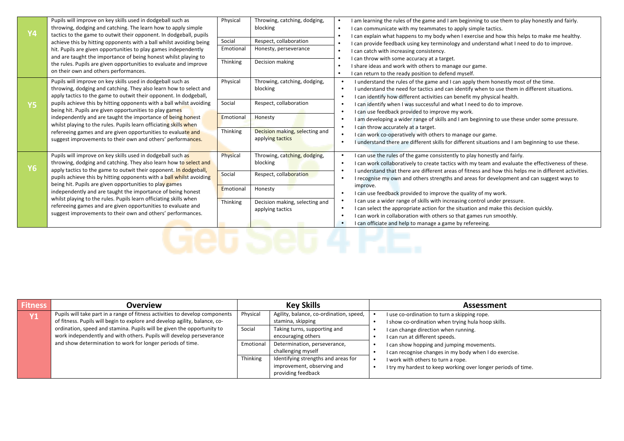| <b>Y4</b> | Pupils will improve on key skills used in dodgeball such as<br>throwing, dodging and catching. The learn how to apply simple<br>tactics to the game to outwit their opponent. In dodgeball, pupils<br>achieve this by hitting opponents with a ball whilst avoiding being<br>hit. Pupils are given opportunities to play games independently<br>and are taught the importance of being honest whilst playing to<br>the rules. Pupils are given opportunities to evaluate and improve<br>on their own and others performances.                                                                               | Physical<br>Social<br>Emotional<br>Thinking | Throwing, catching, dodging,<br>blocking<br>Respect, collaboration<br>Honesty, perseverance<br>Decision making                      | I am learning the rules of the game and I am beginning to use them to play honestly and fairly.<br>I can communicate with my teammates to apply simple tactics.<br>I can explain what happens to my body when I exercise and how this helps to make me healthy.<br>I can provide feedback using key terminology and understand what I need to do to improve.<br>I can catch with increasing consistency.<br>I can throw with some accuracy at a target.<br>I share ideas and work with others to manage our game.<br>I can return to the ready position to defend myself.                                                                                                                                                                                                                 |
|-----------|-------------------------------------------------------------------------------------------------------------------------------------------------------------------------------------------------------------------------------------------------------------------------------------------------------------------------------------------------------------------------------------------------------------------------------------------------------------------------------------------------------------------------------------------------------------------------------------------------------------|---------------------------------------------|-------------------------------------------------------------------------------------------------------------------------------------|-------------------------------------------------------------------------------------------------------------------------------------------------------------------------------------------------------------------------------------------------------------------------------------------------------------------------------------------------------------------------------------------------------------------------------------------------------------------------------------------------------------------------------------------------------------------------------------------------------------------------------------------------------------------------------------------------------------------------------------------------------------------------------------------|
| <b>Y5</b> | Pupils will improve on key skills used in dodgeball such as<br>throwing, dodging and catching. They also learn how to select and<br>apply tactics to the game to outwit their opponent. In dodgeball,<br>pupils achieve this by hitting opponents with a ball whilst avoiding<br>being hit. Pupils are given opportunities to play games<br>independently and are taught the importance of being honest<br>whilst playing to the rules. Pupils learn officiating skills when<br>refereeing games and are given opportunities to evaluate and<br>suggest improvements to their own and others' performances. | Physical<br>Social<br>Emotional<br>Thinking | Throwing, catching, dodging,<br>blocking<br>Respect, collaboration<br>Honesty<br>Decision making, selecting and<br>applying tactics | I understand the rules of the game and I can apply them honestly most of the time.<br>I understand the need for tactics and can identify when to use them in different situations.<br>I can identify how different activities can benefit my physical health.<br>I can identify when I was successful and what I need to do to improve.<br>I can use feedback provided to improve my work.<br>I am developing a wider range of skills and I am beginning to use these under some pressure.<br>I can throw accurately at a target.<br>I can work co-operatively with others to manage our game.<br>I understand there are different skills for different situations and I am beginning to use these.                                                                                       |
| <b>Y6</b> | Pupils will improve on key skills used in dodgeball such as<br>throwing, dodging and catching. They also learn how to select and<br>apply tactics to the game to outwit their opponent. In dodgeball,<br>pupils achieve this by hitting opponents with a ball whilst avoiding<br>being hit. Pupils are given opportunities to play games<br>independently and are taught the importance of being honest<br>whilst playing to the rules. Pupils learn officiating skills when<br>refereeing games and are given opportunities to evaluate and<br>suggest improvements to their own and others' performances. | Physical<br>Social<br>Emotional<br>Thinking | Throwing, catching, dodging,<br>blocking<br>Respect, collaboration<br>Honesty<br>Decision making, selecting and<br>applying tactics | I can use the rules of the game consistently to play honestly and fairly.<br>I can work collaboratively to create tactics with my team and evaluate the effectiveness of these.<br>$\bullet$<br>I understand that there are different areas of fitness and how this helps me in different activities.<br>I recognise my own and others strengths and areas for development and can suggest ways to<br>improve.<br>I can use feedback provided to improve the quality of my work.<br>I can use a wider range of skills with increasing control under pressure.<br>I can select the appropriate action for the situation and make this decision quickly.<br>I can work in collaboration with others so that games run smoothly.<br>I can officiate and help to manage a game by refereeing. |

| <b>Fitness</b> | Overview                                                                                                                                                   |           | <b>Key Skills</b>                                                                       | <b>Assessment</b>                                                                                   |
|----------------|------------------------------------------------------------------------------------------------------------------------------------------------------------|-----------|-----------------------------------------------------------------------------------------|-----------------------------------------------------------------------------------------------------|
|                | Pupils will take part in a range of fitness activities to develop components<br>of fitness. Pupils will begin to explore and develop agility, balance, co- | Physical  | Agility, balance, co-ordination, speed,<br>stamina, skipping                            | I use co-ordination to turn a skipping rope.<br>I show co-ordination when trying hula hoop skills.  |
|                | ordination, speed and stamina. Pupils will be given the opportunity to<br>work independently and with others. Pupils will develop perseverance             | Social    | Taking turns, supporting and<br>encouraging others                                      | I can change direction when running.<br>I can run at different speeds.                              |
|                | and show determination to work for longer periods of time.                                                                                                 | Emotional | Determination, perseverance,<br>challenging myself                                      | I can show hopping and jumping movements.<br>I can recognise changes in my body when I do exercise. |
|                |                                                                                                                                                            | Thinking  | Identifying strengths and areas for<br>improvement, observing and<br>providing feedback | I work with others to turn a rope.<br>I try my hardest to keep working over longer periods of time. |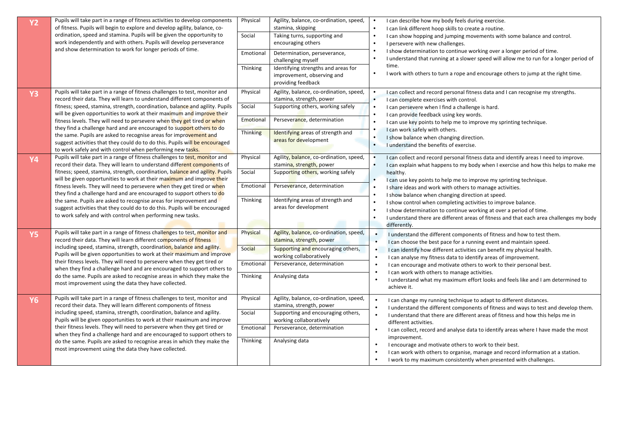| <b>Y2</b> | Pupils will take part in a range of fitness activities to develop components<br>of fitness. Pupils will begin to explore and develop agility, balance, co-<br>ordination, speed and stamina. Pupils will be given the opportunity to<br>work independently and with others. Pupils will develop perseverance<br>and show determination to work for longer periods of time. | Physical<br>Social<br>Emotional<br>Thinking | Agility, balance, co-ordination, speed,<br>stamina, skipping<br>Taking turns, supporting and<br>encouraging others<br>Determination, perseverance,<br>challenging myself<br>Identifying strengths and areas for<br>improvement, observing and<br>providing feedback | I can describe how my body feels during exercise.<br>I can link different hoop skills to create a routine.<br>I can show hopping and jumping movements with some balance and control.<br>I persevere with new challenges.<br>I show determination to continue working over a longer period of time.<br>I understand that running at a slower speed will allow me to run for a longer period of<br>time.<br>I work with others to turn a rope and encourage others to jump at the right time. |
|-----------|----------------------------------------------------------------------------------------------------------------------------------------------------------------------------------------------------------------------------------------------------------------------------------------------------------------------------------------------------------------------------|---------------------------------------------|---------------------------------------------------------------------------------------------------------------------------------------------------------------------------------------------------------------------------------------------------------------------|----------------------------------------------------------------------------------------------------------------------------------------------------------------------------------------------------------------------------------------------------------------------------------------------------------------------------------------------------------------------------------------------------------------------------------------------------------------------------------------------|
| <b>Y3</b> | Pupils will take part in a range of fitness challenges to test, monitor and<br>record their data. They will learn to understand different components of                                                                                                                                                                                                                    | Physical                                    | Agility, balance, co-ordination, speed,<br>stamina, strength, power                                                                                                                                                                                                 | I can collect and record personal fitness data and I can recognise my strengths.<br>I can complete exercises with control.                                                                                                                                                                                                                                                                                                                                                                   |
|           | fitness; speed, stamina, strength, coordination, balance and agility. Pupils<br>will be given opportunities to work at their maximum and improve their                                                                                                                                                                                                                     | Social                                      | Supporting others, working safely                                                                                                                                                                                                                                   | I can persevere when I find a challenge is hard.<br>I can provide feedback using key words.                                                                                                                                                                                                                                                                                                                                                                                                  |
|           | fitness levels. They will need to persevere when they get tired or when<br>they find a challenge hard and are encouraged to support others to do                                                                                                                                                                                                                           | Emotional                                   | Perseverance, determination                                                                                                                                                                                                                                         | I can use key points to help me to improve my sprinting technique.                                                                                                                                                                                                                                                                                                                                                                                                                           |
|           | the same. Pupils are asked to recognise areas for improvement and<br>suggest activities that they could do to do this. Pupils will be encouraged<br>to work safely and with control when performing new tasks.                                                                                                                                                             | Thinking                                    | Identifying areas of strength and<br>areas for development                                                                                                                                                                                                          | I can work safely with others.<br>I show balance when changing direction.<br>I understand the benefits of exercise.                                                                                                                                                                                                                                                                                                                                                                          |
| <b>Y4</b> | Pupils will take part in a range of fitness challenges to test, monitor and<br>record their data. They will learn to understand different components of                                                                                                                                                                                                                    | Physical                                    | Agility, balance, co-ordination, speed,<br>stamina, strength, power                                                                                                                                                                                                 | I can collect and record personal fitness data and identify areas I need to improve.<br>I can explain what happens to my body when I exercise and how this helps to make me                                                                                                                                                                                                                                                                                                                  |
|           | fitness; speed, stamina, strength, coordination, balance and agility. Pupils<br>will be given opportunities to work at their maximum and improve their                                                                                                                                                                                                                     | Social                                      | Supporting others, working safely                                                                                                                                                                                                                                   | healthy.<br>I can use key points to help me to improve my sprinting technique.                                                                                                                                                                                                                                                                                                                                                                                                               |
|           | fitness levels. They will need to persevere when they get tired or when<br>they find a challenge hard and are encouraged to support others to do                                                                                                                                                                                                                           | Emotional                                   | Perseverance, determination                                                                                                                                                                                                                                         | I share ideas and work with others to manage activities.                                                                                                                                                                                                                                                                                                                                                                                                                                     |
|           | the same. Pupils are asked to recognise areas for improvement and<br>suggest activities that they could do to do this. Pupils will be encouraged<br>to work safely and with control when performing new tasks.                                                                                                                                                             | Thinking                                    | Identifying areas of strength and<br>areas for development                                                                                                                                                                                                          | I show balance when changing direction at speed.<br>I show control when completing activities to improve balance.<br>I show determination to continue working at over a period of time.<br>I understand there are different areas of fitness and that each area challenges my body<br>differently.                                                                                                                                                                                           |
| <b>Y5</b> | Pupils will take part in a range of fitness challenges to test, monitor and<br>record their data. They will learn different components of fitness                                                                                                                                                                                                                          | Physical                                    | Agility, balance, co-ordination, speed,<br>stamina, strength, power                                                                                                                                                                                                 | I understand the different components of fitness and how to test them.<br>I can choose the best pace for a running event and maintain speed.                                                                                                                                                                                                                                                                                                                                                 |
|           | including speed, stamina, strength, coordination, balance and agility.<br>Pupils will be given opportunities to work at their maximum and improve                                                                                                                                                                                                                          | Social                                      | Supporting and encouraging others,<br>working collaboratively                                                                                                                                                                                                       | I can identify how different activities can benefit my physical health.<br>$\bullet$<br>I can analyse my fitness data to identify areas of improvement.                                                                                                                                                                                                                                                                                                                                      |
|           | their fitness levels. They will need to persevere when they get tired or<br>when they find a challenge hard and are encouraged to support others to                                                                                                                                                                                                                        | Emotional                                   | Perseverance, determination                                                                                                                                                                                                                                         | I can encourage and motivate others to work to their personal best.<br>I can work with others to manage activities.                                                                                                                                                                                                                                                                                                                                                                          |
|           | do the same. Pupils are asked to recognise areas in which they make the<br>most improvement using the data they have collected.                                                                                                                                                                                                                                            | Thinking                                    | Analysing data                                                                                                                                                                                                                                                      | I understand what my maximum effort looks and feels like and I am determined to<br>achieve it.                                                                                                                                                                                                                                                                                                                                                                                               |
| <b>Y6</b> | Pupils will take part in a range of fitness challenges to test, monitor and<br>record their data. They will learn different components of fitness<br>including speed, stamina, strength, coordination, balance and agility.<br>Pupils will be given opportunities to work at their maximum and improve                                                                     | Physical<br>Social                          | Agility, balance, co-ordination, speed,<br>stamina, strength, power<br>Supporting and encouraging others,<br>working collaboratively                                                                                                                                | $\bullet$<br>I can change my running technique to adapt to different distances.<br>I understand the different components of fitness and ways to test and develop them.<br>I understand that there are different areas of fitness and how this helps me in<br>different activities.                                                                                                                                                                                                           |
|           | their fitness levels. They will need to persevere when they get tired or<br>when they find a challenge hard and are encouraged to support others to                                                                                                                                                                                                                        | Emotional                                   | Perseverance, determination                                                                                                                                                                                                                                         | I can collect, record and analyse data to identify areas where I have made the most                                                                                                                                                                                                                                                                                                                                                                                                          |
|           | do the same. Pupils are asked to recognise areas in which they make the<br>most improvement using the data they have collected.                                                                                                                                                                                                                                            | Thinking                                    | Analysing data                                                                                                                                                                                                                                                      | improvement.<br>I encourage and motivate others to work to their best.<br>$\bullet$<br>I can work with others to organise, manage and record information at a station.<br>I work to my maximum consistently when presented with challenges.                                                                                                                                                                                                                                                  |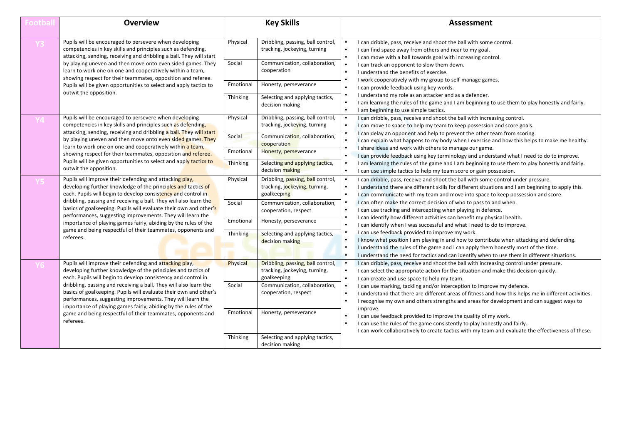| <b>Football</b> | <b>Overview</b>                                                                                                                                                                                                                                                                                                                                                                                                                                                                                                                                  |                                             | <b>Key Skills</b>                                                                                                                                                                                      | <b>Assessment</b>                                                                                                                                                                                                                                                                                                                                                                                                                                                                                                                                                                                                                                                                                                                                                                |  |  |
|-----------------|--------------------------------------------------------------------------------------------------------------------------------------------------------------------------------------------------------------------------------------------------------------------------------------------------------------------------------------------------------------------------------------------------------------------------------------------------------------------------------------------------------------------------------------------------|---------------------------------------------|--------------------------------------------------------------------------------------------------------------------------------------------------------------------------------------------------------|----------------------------------------------------------------------------------------------------------------------------------------------------------------------------------------------------------------------------------------------------------------------------------------------------------------------------------------------------------------------------------------------------------------------------------------------------------------------------------------------------------------------------------------------------------------------------------------------------------------------------------------------------------------------------------------------------------------------------------------------------------------------------------|--|--|
|                 | Pupils will be encouraged to persevere when developing<br>competencies in key skills and principles such as defending,<br>attacking, sending, receiving and dribbling a ball. They will start<br>by playing uneven and then move onto even sided games. They<br>learn to work one on one and cooperatively within a team,<br>showing respect for their teammates, opposition and referee.<br>Pupils will be given opportunities to select and apply tactics to<br>outwit the opposition.                                                         | Physical<br>Social<br>Emotional             | Dribbling, passing, ball control,<br>tracking, jockeying, turning<br>Communication, collaboration,<br>cooperation<br>Honesty, perseverance                                                             | I can dribble, pass, receive and shoot the ball with some control.<br>I can find space away from others and near to my goal.<br>I can move with a ball towards goal with increasing control.<br>I can track an opponent to slow them down.<br>I understand the benefits of exercise.<br>I work cooperatively with my group to self-manage games.<br>I can provide feedback using key words.<br>I understand my role as an attacker and as a defender.                                                                                                                                                                                                                                                                                                                            |  |  |
|                 |                                                                                                                                                                                                                                                                                                                                                                                                                                                                                                                                                  | Thinking                                    | Selecting and applying tactics,<br>decision making                                                                                                                                                     | I am learning the rules of the game and I am beginning to use them to play honestly and fairly.<br>I am beginning to use simple tactics.                                                                                                                                                                                                                                                                                                                                                                                                                                                                                                                                                                                                                                         |  |  |
|                 | Pupils will be encouraged to persevere when developing<br>competencies in key skills and principles such as defending.<br>attacking, sending, receiving and dribbling a ball. They will start<br>by playing uneven and then move onto even sided games. They<br>learn to work one on one and cooperatively within a team,<br>showing respect for their teammates, opposition and referee.<br>Pupils will be given opportunities to select and apply tactics to                                                                                   | Physical<br>Social<br>Emotional<br>Thinking | Dribbling, passing, ball control,<br>tracking, jockeving, turning<br>Communication, collaboration,<br>cooperation<br>Honesty, perseverance<br>Selecting and applying tactics,                          | I can dribble, pass, receive and shoot the ball with increasing control.<br>I can move to space to help my team to keep possession and score goals.<br>I can delay an opponent and help to prevent the other team from scoring.<br>I can explain what happens to my body when I exercise and how this helps to make me healthy.<br>I share ideas and work with others to manage our game.<br>I can provide feedback using key terminology and understand what I need to do to improve.<br>I am learning the rules of the game and I am beginning to use them to play honestly and fairly.                                                                                                                                                                                        |  |  |
|                 | outwit the opposition.                                                                                                                                                                                                                                                                                                                                                                                                                                                                                                                           |                                             | decision making                                                                                                                                                                                        | I can use simple tactics to help my team score or gain possession.                                                                                                                                                                                                                                                                                                                                                                                                                                                                                                                                                                                                                                                                                                               |  |  |
|                 | Pupils will improve their defending and attacking play,<br>developing further knowledge of the principles and tactics of<br>each. Pupils will begin to develop consistency and control in<br>dribbling, passing and receiving a ball. They will also learn the                                                                                                                                                                                                                                                                                   | Physical<br>Social                          | Dribbling, passing, ball control,<br>tracking, jockeying, turning,<br>goalkeeping<br>Communication, collaboration,                                                                                     | I can dribble, pass, receive and shoot the ball with some control under pressure.<br>I understand there are different skills for different situations and I am beginning to apply this.<br>I can communicate with my team and move into space to keep possession and score.<br>I can often make the correct decision of who to pass to and when.                                                                                                                                                                                                                                                                                                                                                                                                                                 |  |  |
|                 | basics of goalkeeping. Pupils will evaluate their own and other's<br>performances, suggesting improvements. They will learn the<br>importance of playing games fairly, abiding by the rules of the<br>game and being respectful of their teammates, opponents and                                                                                                                                                                                                                                                                                | Emotional                                   | cooperation, respect<br>Honesty, perseverance                                                                                                                                                          | I can use tracking and intercepting when playing in defence.<br>$\bullet$<br>I can identify how different activities can benefit my physical health.<br>I can identify when I was successful and what I need to do to improve.                                                                                                                                                                                                                                                                                                                                                                                                                                                                                                                                                   |  |  |
|                 | referees.                                                                                                                                                                                                                                                                                                                                                                                                                                                                                                                                        | Thinking                                    | Selecting and applying tactics,<br>decision making                                                                                                                                                     | I can use feedback provided to improve my work.<br>I know what position I am playing in and how to contribute when attacking and defending.<br>I understand the rules of the game and I can apply them honestly most of the time.<br>I understand the need for tactics and can identify when to use them in different situations.                                                                                                                                                                                                                                                                                                                                                                                                                                                |  |  |
|                 | Pupils will improve their defending and attacking play,<br>developing further knowledge of the principles and tactics of<br>each. Pupils will begin to develop consistency and control in<br>dribbling, passing and receiving a ball. They will also learn the<br>basics of goalkeeping. Pupils will evaluate their own and other's<br>performances, suggesting improvements. They will learn the<br>importance of playing games fairly, abiding by the rules of the<br>game and being respectful of their teammates, opponents and<br>referees. | Physical<br>Social<br>Emotional<br>Thinking | Dribbling, passing, ball control,<br>tracking, jockeying, turning,<br>goalkeeping<br>Communication, collaboration,<br>cooperation, respect<br>Honesty, perseverance<br>Selecting and applying tactics, | I can dribble, pass, receive and shoot the ball with increasing control under pressure.<br>I can select the appropriate action for the situation and make this decision quickly.<br>I can create and use space to help my team.<br>I can use marking, tackling and/or interception to improve my defence.<br>I understand that there are different areas of fitness and how this helps me in different activities.<br>I recognise my own and others strengths and areas for development and can suggest ways to<br>improve.<br>I can use feedback provided to improve the quality of my work.<br>I can use the rules of the game consistently to play honestly and fairly.<br>I can work collaboratively to create tactics with my team and evaluate the effectiveness of these. |  |  |
|                 |                                                                                                                                                                                                                                                                                                                                                                                                                                                                                                                                                  |                                             | decision making                                                                                                                                                                                        |                                                                                                                                                                                                                                                                                                                                                                                                                                                                                                                                                                                                                                                                                                                                                                                  |  |  |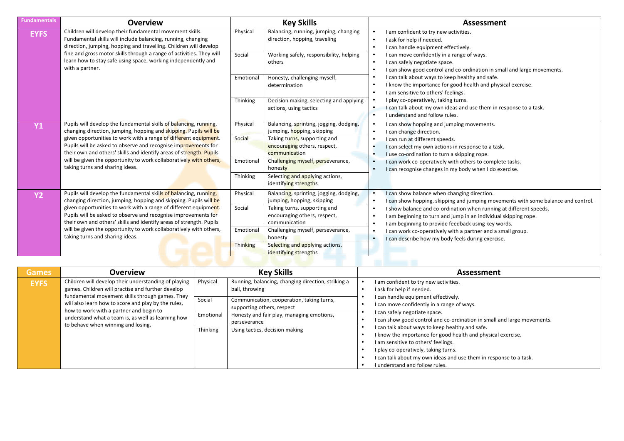| <b>Fundamentals</b> | <b>Overview</b>                                                                                                                                                                                           |           | <b>Key Skills</b>                                                             | <b>Assessment</b>                                                                                                                                                                                         |
|---------------------|-----------------------------------------------------------------------------------------------------------------------------------------------------------------------------------------------------------|-----------|-------------------------------------------------------------------------------|-----------------------------------------------------------------------------------------------------------------------------------------------------------------------------------------------------------|
| <b>EYFS</b>         | Children will develop their fundamental movement skills.<br>Fundamental skills will include balancing, running, changing<br>direction, jumping, hopping and travelling. Children will develop             | Physical  | Balancing, running, jumping, changing<br>direction, hopping, traveling        | I am confident to try new activities.<br>I ask for help if needed.<br>$\bullet$<br>I can handle equipment effectively.                                                                                    |
|                     | fine and gross motor skills through a range of activities. They will<br>learn how to stay safe using space, working independently and<br>with a partner.                                                  | Social    | Working safely, responsibility, helping<br>others                             | I can move confidently in a range of ways.<br>I can safely negotiate space.<br>$\bullet$<br>I can show good control and co-ordination in small and large movements.<br>$\bullet$                          |
|                     |                                                                                                                                                                                                           | Emotional | Honesty, challenging myself,<br>determination                                 | I can talk about ways to keep healthy and safe.<br>I know the importance for good health and physical exercise.<br>$\bullet$<br>I am sensitive to others' feelings.<br>$\bullet$                          |
|                     |                                                                                                                                                                                                           | Thinking  | Decision making, selecting and applying<br>actions, using tactics             | I play co-operatively, taking turns.<br>I can talk about my own ideas and use them in response to a task.<br>I understand and follow rules.<br>$\bullet$                                                  |
| <b>Y1</b>           | Pupils will develop the fundamental skills of balancing, running,<br>changing direction, jumping, hopping and skipping. Pupils will be                                                                    | Physical  | Balancing, sprinting, jogging, dodging,<br>jumping, hopping, skipping         | I can show hopping and jumping movements.<br>I can change direction.<br>$\bullet$                                                                                                                         |
|                     | given opportunities to work with a range of different equipment.<br>Pupils will be asked to observe and recognise improvements for<br>their own and others' skills and identify areas of strength. Pupils | Social    | Taking turns, supporting and<br>encouraging others, respect,<br>communication | I can run at different speeds.<br>I can select my own actions in response to a task.<br>I use co-ordination to turn a skipping rope.                                                                      |
|                     | will be given the opportunity to work collaboratively with others,<br>taking turns and sharing ideas.                                                                                                     | Emotional | Challenging myself, perseverance,<br>honesty                                  | I can work co-operatively with others to complete tasks.<br>I can recognise changes in my body when I do exercise.                                                                                        |
|                     |                                                                                                                                                                                                           | Thinking  | Selecting and applying actions,<br>identifying strengths                      |                                                                                                                                                                                                           |
| <b>Y2</b>           | Pupils will develop the fundamental skills of balancing, running,<br>changing direction, jumping, hopping and skipping. Pupils will be                                                                    | Physical  | Balancing, sprinting, jogging, dodging,<br>jumping, hopping, skipping         | I can show balance when changing direction.<br>I can show hopping, skipping and jumping movements with some balance and control.                                                                          |
|                     | given opportunities to work with a range of different equipment.<br>Pupils will be asked to observe and recognise improvements for<br>their own and others' skills and identify areas of strength. Pupils | Social    | Taking turns, supporting and<br>encouraging others, respect,<br>communication | I show balance and co-ordination when running at different speeds.<br>I am beginning to turn and jump in an individual skipping rope.<br>$\bullet$<br>I am beginning to provide feedback using key words. |
|                     | will be given the opportunity to work collaboratively with others,<br>taking turns and sharing ideas.                                                                                                     | Emotional | Challenging myself, perseverance,<br>honesty                                  | I can work co-operatively with a partner and a small group.<br>$\bullet$<br>I can describe how my body feels during exercise.                                                                             |
|                     |                                                                                                                                                                                                           | Thinking  | Selecting and applying actions,<br>identifying strengths                      |                                                                                                                                                                                                           |

|              |                                                                                                                                                                                                                                                                                                                                                            |                                             | <b>INCHLIPTIE SUCHELIS</b>                                                                                                                                                                                                                     |                                                                                                                                                                                                                                                                                                                                                                                                                                                                                                                                                                              |  |  |  |  |  |  |
|--------------|------------------------------------------------------------------------------------------------------------------------------------------------------------------------------------------------------------------------------------------------------------------------------------------------------------------------------------------------------------|---------------------------------------------|------------------------------------------------------------------------------------------------------------------------------------------------------------------------------------------------------------------------------------------------|------------------------------------------------------------------------------------------------------------------------------------------------------------------------------------------------------------------------------------------------------------------------------------------------------------------------------------------------------------------------------------------------------------------------------------------------------------------------------------------------------------------------------------------------------------------------------|--|--|--|--|--|--|
|              |                                                                                                                                                                                                                                                                                                                                                            |                                             |                                                                                                                                                                                                                                                |                                                                                                                                                                                                                                                                                                                                                                                                                                                                                                                                                                              |  |  |  |  |  |  |
| <b>Games</b> | Overview                                                                                                                                                                                                                                                                                                                                                   |                                             | <b>Key Skills</b>                                                                                                                                                                                                                              | <b>Assessment</b>                                                                                                                                                                                                                                                                                                                                                                                                                                                                                                                                                            |  |  |  |  |  |  |
| <b>EYFS</b>  | Children will develop their understanding of playing<br>games. Children will practise and further develop<br>fundamental movement skills through games. They<br>will also learn how to score and play by the rules,<br>how to work with a partner and begin to<br>understand what a team is, as well as learning how<br>to behave when winning and losing. | Physical<br>Social<br>Emotional<br>Thinking | Running, balancing, changing direction, striking a<br>ball, throwing<br>Communication, cooperation, taking turns,<br>supporting others, respect<br>Honesty and fair play, managing emotions,<br>perseverance<br>Using tactics, decision making | I am confident to try new activities.<br>I ask for help if needed.<br>I can handle equipment effectively.<br>I can move confidently in a range of ways.<br>I can safely negotiate space.<br>I can show good control and co-ordination in small and large movements.<br>I can talk about ways to keep healthy and safe.<br>I know the importance for good health and physical exercise.<br>I am sensitive to others' feelings.<br>I play co-operatively, taking turns.<br>I can talk about my own ideas and use them in response to a task.<br>I understand and follow rules. |  |  |  |  |  |  |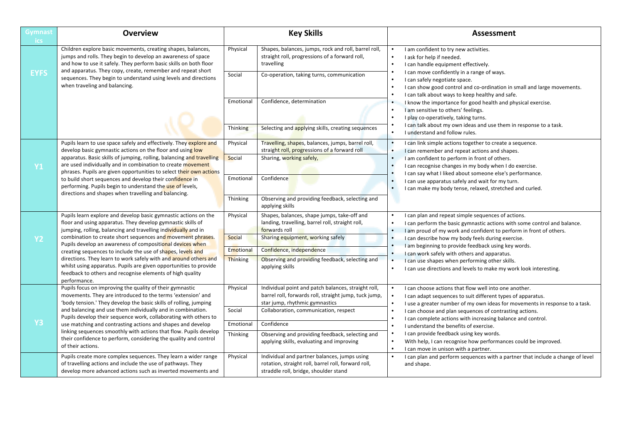| <b>Gymnast</b><br>ics. | <b>Overview</b>                                                                                                                                                                                             |                              | <b>Key Skills</b>                                                                                                                              | <b>Assessment</b>                                                                                                                                                                                         |
|------------------------|-------------------------------------------------------------------------------------------------------------------------------------------------------------------------------------------------------------|------------------------------|------------------------------------------------------------------------------------------------------------------------------------------------|-----------------------------------------------------------------------------------------------------------------------------------------------------------------------------------------------------------|
|                        | Children explore basic movements, creating shapes, balances,<br>jumps and rolls. They begin to develop an awareness of space<br>and how to use it safely. They perform basic skills on both floor           | Physical                     | Shapes, balances, jumps, rock and roll, barrel roll,<br>straight roll, progressions of a forward roll,<br>travelling                           | I am confident to try new activities.<br>I ask for help if needed.<br>I can handle equipment effectively.                                                                                                 |
| <b>EYFS</b>            | and apparatus. They copy, create, remember and repeat short<br>sequences. They begin to understand using levels and directions<br>when traveling and balancing.                                             | Social                       | Co-operation, taking turns, communication                                                                                                      | I can move confidently in a range of ways.<br>I can safely negotiate space.<br>I can show good control and co-ordination in small and large movements.<br>I can talk about ways to keep healthy and safe. |
|                        |                                                                                                                                                                                                             | Emotional                    | Confidence, determination                                                                                                                      | I know the importance for good health and physical exercise.<br>I am sensitive to others' feelings.<br>I play co-operatively, taking turns.                                                               |
|                        |                                                                                                                                                                                                             | Thinking                     | Selecting and applying skills, creating sequences                                                                                              | I can talk about my own ideas and use them in response to a task.<br>I understand and follow rules.                                                                                                       |
|                        | Pupils learn to use space safely and effectively. They explore and<br>develop basic gymnastic actions on the floor and using low                                                                            | Physical                     | Travelling, shapes, balances, jumps, barrel roll,<br>straight roll, progressions of a forward roll                                             | I can link simple actions together to create a sequence.<br>I can remember and repeat actions and shapes.                                                                                                 |
| <b>Y1</b>              | apparatus. Basic skills of jumping, rolling, balancing and travelling<br>are used individually and in combination to create movement<br>phrases. Pupils are given opportunities to select their own actions | Social                       | Sharing, working safely,                                                                                                                       | I am confident to perform in front of others.<br>I can recognise changes in my body when I do exercise.<br>I can say what I liked about someone else's performance.                                       |
|                        | to build short sequences and develop their confidence in<br>performing. Pupils begin to understand the use of levels,<br>directions and shapes when travelling and balancing.                               | Emotional                    | Confidence                                                                                                                                     | I can use apparatus safely and wait for my turn.<br>$\bullet$<br>I can make my body tense, relaxed, stretched and curled.                                                                                 |
|                        |                                                                                                                                                                                                             | Thinking                     | Observing and providing feedback, selecting and<br>applying skills                                                                             |                                                                                                                                                                                                           |
|                        | Pupils learn explore and develop basic gymnastic actions on the<br>floor and using apparatus. They develop gymnastic skills of<br>jumping, rolling, balancing and travelling individually and in            | Physical                     | Shapes, balances, shape jumps, take-off and<br>landing, travelling, barrel roll, straight roll,<br>forwards roll                               | I can plan and repeat simple sequences of actions.<br>I can perform the basic gymnastic actions with some control and balance.<br>I am proud of my work and confident to perform in front of others.      |
| <b>Y2</b>              | combination to create short sequences and movement phrases.<br>Pupils develop an awareness of compositional devices when                                                                                    | Social                       | Sharing equipment, working safely                                                                                                              | I can describe how my body feels during exercise.<br>I am beginning to provide feedback using key words.                                                                                                  |
|                        | creating sequences to include the use of shapes, levels and<br>directions. They learn to work safely with and around others and                                                                             | Emotional<br><b>Thinking</b> | Confidence, independence<br>Observing and providing feedback, selecting and                                                                    | I can work safely with others and apparatus.                                                                                                                                                              |
|                        | whilst using apparatus. Pupils are given opportunities to provide<br>feedback to others and recognise elements of high quality<br>performance.                                                              |                              | applying skills                                                                                                                                | I can use shapes when performing other skills.<br>I can use directions and levels to make my work look interesting.<br>$\bullet$                                                                          |
|                        | Pupils focus on improving the quality of their gymnastic<br>movements. They are introduced to the terms 'extension' and<br>'body tension.' They develop the basic skills of rolling, jumping                | Physical                     | Individual point and patch balances, straight roll,<br>barrel roll, forwards roll, straight jump, tuck jump,<br>star jump, rhythmic gymnastics | I can choose actions that flow well into one another.<br>I can adapt sequences to suit different types of apparatus.<br>I use a greater number of my own ideas for movements in response to a task.       |
|                        | and balancing and use them individually and in combination.<br>Pupils develop their sequence work, collaborating with others to                                                                             | Social                       | Collaboration, communication, respect                                                                                                          | I can choose and plan sequences of contrasting actions.                                                                                                                                                   |
| <b>Y3</b>              | use matching and contrasting actions and shapes and develop                                                                                                                                                 | Emotional                    | Confidence                                                                                                                                     | I can complete actions with increasing balance and control.<br>I understand the benefits of exercise.                                                                                                     |
|                        | linking sequences smoothly with actions that flow. Pupils develop<br>their confidence to perform, considering the quality and control<br>of their actions.                                                  | Thinking                     | Observing and providing feedback, selecting and<br>applying skills, evaluating and improving                                                   | I can provide feedback using key words.<br>With help, I can recognise how performances could be improved.<br>I can move in unison with a partner.                                                         |
|                        | Pupils create more complex sequences. They learn a wider range<br>of travelling actions and include the use of pathways. They<br>develop more advanced actions such as inverted movements and               | Physical                     | Individual and partner balances, jumps using<br>rotation, straight roll, barrel roll, forward roll,<br>straddle roll, bridge, shoulder stand   | I can plan and perform sequences with a partner that include a change of level<br>and shape.                                                                                                              |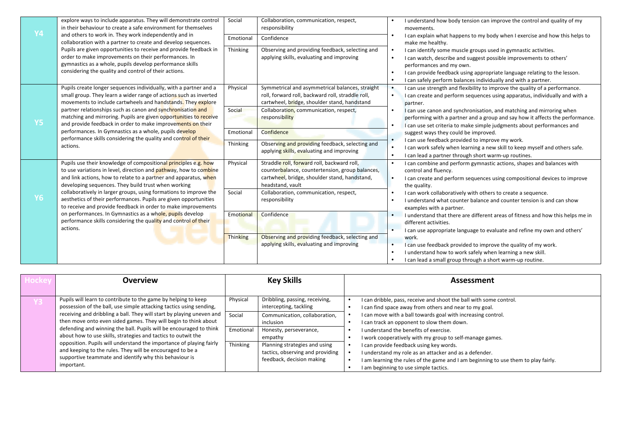| <b>Y4</b> | explore ways to include apparatus. They will demonstrate control<br>in their behaviour to create a safe environment for themselves                                                                                                                                                                                                                                       | Social    | Collaboration, communication, respect,<br>responsibility                                                                                                            | I understand how body tension can improve the control and quality of my<br>movements.                                                                                                                                                                                                                            |
|-----------|--------------------------------------------------------------------------------------------------------------------------------------------------------------------------------------------------------------------------------------------------------------------------------------------------------------------------------------------------------------------------|-----------|---------------------------------------------------------------------------------------------------------------------------------------------------------------------|------------------------------------------------------------------------------------------------------------------------------------------------------------------------------------------------------------------------------------------------------------------------------------------------------------------|
|           | and others to work in. They work independently and in<br>collaboration with a partner to create and develop sequences.<br>Pupils are given opportunities to receive and provide feedback in<br>order to make improvements on their performances. In<br>gymnastics as a whole, pupils develop performance skills<br>considering the quality and control of their actions. | Emotional | Confidence                                                                                                                                                          | I can explain what happens to my body when I exercise and how this helps to<br>make me healthy.                                                                                                                                                                                                                  |
|           |                                                                                                                                                                                                                                                                                                                                                                          | Thinking  | Observing and providing feedback, selecting and<br>applying skills, evaluating and improving                                                                        | I can identify some muscle groups used in gymnastic activities.<br>I can watch, describe and suggest possible improvements to others'<br>performances and my own.<br>I can provide feedback using appropriate language relating to the lesson.<br>I can safely perform balances individually and with a partner. |
|           | Pupils create longer sequences individually, with a partner and a<br>small group. They learn a wider range of actions such as inverted<br>movements to include cartwheels and handstands. They explore                                                                                                                                                                   | Physical  | Symmetrical and asymmetrical balances, straight<br>roll, forward roll, backward roll, straddle roll,<br>cartwheel, bridge, shoulder stand, handstand                | I can use strength and flexibility to improve the quality of a performance.<br>$\bullet$<br>I can create and perform sequences using apparatus, individually and with a<br>partner.                                                                                                                              |
| <b>Y5</b> | partner relationships such as canon and synchronisation and<br>matching and mirroring. Pupils are given opportunities to receive<br>and provide feedback in order to make improvements on their                                                                                                                                                                          | Social    | Collaboration, communication, respect,<br>responsibility                                                                                                            | I can use canon and synchronisation, and matching and mirroring when<br>performing with a partner and a group and say how it affects the performance.<br>I can use set criteria to make simple judgments about performances and                                                                                  |
|           | performances. In Gymnastics as a whole, pupils develop                                                                                                                                                                                                                                                                                                                   | Emotional | Confidence                                                                                                                                                          | suggest ways they could be improved.                                                                                                                                                                                                                                                                             |
|           | performance skills considering the quality and control of their<br>actions.                                                                                                                                                                                                                                                                                              | Thinking  | Observing and providing feedback, selecting and<br>applying skills, evaluating and improving                                                                        | I can use feedback provided to improve my work.<br>I can work safely when learning a new skill to keep myself and others safe.<br>I can lead a partner through short warm-up routines.                                                                                                                           |
|           | Pupils use their knowledge of compositional principles e.g. how<br>to use variations in level, direction and pathway, how to combine<br>and link actions, how to relate to a partner and apparatus, when<br>developing sequences. They build trust when working                                                                                                          | Physical  | Straddle roll, forward roll, backward roll,<br>counterbalance, countertension, group balances,<br>cartwheel, bridge, shoulder stand, handstand,<br>headstand, vault | I can combine and perform gymnastic actions, shapes and balances with<br>control and fluency.<br>I can create and perform sequences using compositional devices to improve<br>the quality.                                                                                                                       |
| <b>Y6</b> | collaboratively in larger groups, using formations to improve the<br>aesthetics of their performances. Pupils are given opportunities<br>to receive and provide feedback in order to make improvements                                                                                                                                                                   | Social    | Collaboration, communication, respect,<br>responsibility                                                                                                            | I can work collaboratively with others to create a sequence.<br>I understand what counter balance and counter tension is and can show<br>examples with a partner.                                                                                                                                                |
|           | on performances. In Gymnastics as a whole, pupils develop<br>performance skills considering the quality and control of their<br>actions.                                                                                                                                                                                                                                 | Emotional | Confidence                                                                                                                                                          | I understand that there are different areas of fitness and how this helps me in<br>different activities.<br>I can use appropriate language to evaluate and refine my own and others'                                                                                                                             |
|           |                                                                                                                                                                                                                                                                                                                                                                          | Thinking  | Observing and providing feedback, selecting and<br>applying skills, evaluating and improving                                                                        | work.<br>I can use feedback provided to improve the quality of my work.<br>I understand how to work safely when learning a new skill.<br>I can lead a small group through a short warm-up routine.                                                                                                               |

|  | <b>Overview</b>                                                                                                                                                                                                                                                                                                                                 |           | <b>Key Skills</b>                                                                              |  | <b>Assessment</b>                                                                                                                                                                                                                |
|--|-------------------------------------------------------------------------------------------------------------------------------------------------------------------------------------------------------------------------------------------------------------------------------------------------------------------------------------------------|-----------|------------------------------------------------------------------------------------------------|--|----------------------------------------------------------------------------------------------------------------------------------------------------------------------------------------------------------------------------------|
|  | Pupils will learn to contribute to the game by helping to keep<br>possession of the ball, use simple attacking tactics using sending,                                                                                                                                                                                                           | Physical  | Dribbling, passing, receiving,<br>intercepting, tackling                                       |  | I can dribble, pass, receive and shoot the ball with some control.<br>I can find space away from others and near to my goal.                                                                                                     |
|  | receiving and dribbling a ball. They will start by playing uneven and<br>then move onto even sided games. They will begin to think about                                                                                                                                                                                                        | Social    | Communication, collaboration,<br>inclusion                                                     |  | I can move with a ball towards goal with increasing control.<br>I can track an opponent to slow them down.                                                                                                                       |
|  | defending and winning the ball. Pupils will be encouraged to think<br>about how to use skills, strategies and tactics to outwit the<br>opposition. Pupils will understand the importance of playing fairly<br>and keeping to the rules. They will be encouraged to be a<br>supportive teammate and identify why this behaviour is<br>important. | Emotional | Honesty, perseverance,<br>empathy                                                              |  | I understand the benefits of exercise.<br>work cooperatively with my group to self-manage games.                                                                                                                                 |
|  |                                                                                                                                                                                                                                                                                                                                                 | Thinking  | Planning strategies and using<br>tactics, observing and providing<br>feedback, decision making |  | I can provide feedback using key words.<br>I understand my role as an attacker and as a defender.<br>I am learning the rules of the game and I am beginning to use them to play fairly.<br>I am beginning to use simple tactics. |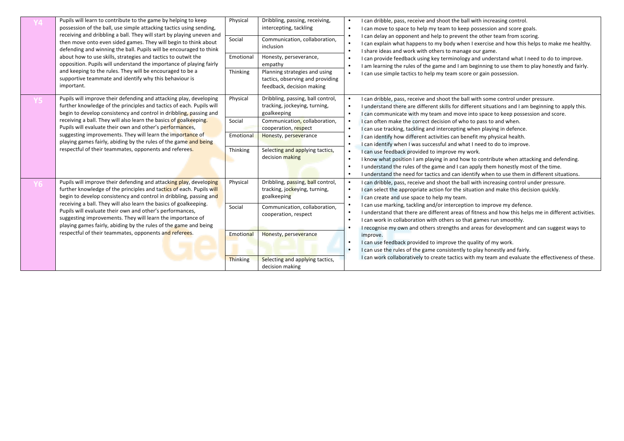|  | Pupils will learn to contribute to the game by helping to keep<br>possession of the ball, use simple attacking tactics using sending,<br>receiving and dribbling a ball. They will start by playing uneven and<br>then move onto even sided games. They will begin to think about<br>defending and winning the ball. Pupils will be encouraged to think | Physical        | Dribbling, passing, receiving,<br>intercepting, tackling                                       | I can dribble, pass, receive and shoot the ball with increasing control.<br>I can move to space to help my team to keep possession and score goals.                                                                                                                                                                                            |
|--|---------------------------------------------------------------------------------------------------------------------------------------------------------------------------------------------------------------------------------------------------------------------------------------------------------------------------------------------------------|-----------------|------------------------------------------------------------------------------------------------|------------------------------------------------------------------------------------------------------------------------------------------------------------------------------------------------------------------------------------------------------------------------------------------------------------------------------------------------|
|  |                                                                                                                                                                                                                                                                                                                                                         | Social          | Communication, collaboration,<br>inclusion                                                     | I can delay an opponent and help to prevent the other team from scoring.<br>I can explain what happens to my body when I exercise and how this helps to make me healthy.<br>$\bullet$<br>I share ideas and work with others to manage our game.                                                                                                |
|  | about how to use skills, strategies and tactics to outwit the<br>opposition. Pupils will understand the importance of playing fairly                                                                                                                                                                                                                    | Emotional       | Honesty, perseverance,<br>empathy                                                              | I can provide feedback using key terminology and understand what I need to do to improve.<br>I am learning the rules of the game and I am beginning to use them to play honestly and fairly.                                                                                                                                                   |
|  | and keeping to the rules. They will be encouraged to be a<br>supportive teammate and identify why this behaviour is<br>important.                                                                                                                                                                                                                       | Thinking        | Planning strategies and using<br>tactics, observing and providing<br>feedback, decision making | I can use simple tactics to help my team score or gain possession.                                                                                                                                                                                                                                                                             |
|  | Pupils will improve their defending and attacking play, developing<br>further knowledge of the principles and tactics of each. Pupils will<br>begin to develop consistency and control in dribbling, passing and                                                                                                                                        | Physical        | Dribbling, passing, ball control,<br>tracking, jockeying, turning,<br>goalkeeping              | I can dribble, pass, receive and shoot the ball with some control under pressure.<br>I understand there are different skills for different situations and I am beginning to apply this.<br>$\bullet$<br>I can communicate with my team and move into space to keep possession and score.<br>$\bullet$                                          |
|  | receiving a ball. They will also learn the basics of goalkeeping.<br>Pupils will evaluate their own and other's performances,<br>suggesting improvements. They will learn the importance of<br>playing games fairly, abiding by the rules of the game and being<br>respectful of their teammates, opponents and referees.                               | Social          | Communication, collaboration,<br>cooperation, respect                                          | I can often make the correct decision of who to pass to and when.<br>I can use tracking, tackling and intercepting when playing in defence.                                                                                                                                                                                                    |
|  |                                                                                                                                                                                                                                                                                                                                                         | Emotional       | Honesty, perseverance                                                                          | I can identify how different activities can benefit my physical health.<br>$\bullet$<br>I can identify when I was successful and what I need to do to improve.                                                                                                                                                                                 |
|  |                                                                                                                                                                                                                                                                                                                                                         | Thinking        | Selecting and applying tactics,<br>decision making                                             | I can use feedback provided to improve my work.<br>$\bullet$<br>I know what position I am playing in and how to contribute when attacking and defending.<br>I understand the rules of the game and I can apply them honestly most of the time.<br>I understand the need for tactics and can identify when to use them in different situations. |
|  | Pupils will improve their defending and attacking play, developing<br>further knowledge of the principles and tactics of each. Pupils will<br>begin to develop consistency and control in dribbling, passing and                                                                                                                                        | Physical        | Dribbling, passing, ball control,<br>tracking, jockeying, turning,<br>goalkeeping              | I can dribble, pass, receive and shoot the ball with increasing control under pressure.<br>$\bullet$<br>I can select the appropriate action for the situation and make this decision quickly.<br>I can create and use space to help my team.<br>$\bullet$                                                                                      |
|  | receiving a ball. They will also learn the basics of goalkeeping.<br>Pupils will evaluate their own and other's performances,<br>suggesting improvements. They will learn the importance of<br>playing games fairly, abiding by the rules of the game and being<br>respectful of their teammates, opponents and referees.                               | Social          | Communication, collaboration,<br>cooperation, respect                                          | I can use marking, tackling and/or interception to improve my defence.<br>I understand that there are different areas of fitness and how this helps me in different activities.<br>$\bullet$<br>I can work in collaboration with others so that games run smoothly.                                                                            |
|  |                                                                                                                                                                                                                                                                                                                                                         | Emotional       | Honesty, perseverance                                                                          | I recognise my own and others strengths and areas for development and can suggest ways to<br>improve.                                                                                                                                                                                                                                          |
|  |                                                                                                                                                                                                                                                                                                                                                         |                 |                                                                                                | I can use feedback provided to improve the quality of my work.<br>$\bullet$<br>I can use the rules of the game consistently to play honestly and fairly.<br>$\bullet$                                                                                                                                                                          |
|  |                                                                                                                                                                                                                                                                                                                                                         | <b>Thinking</b> | Selecting and applying tactics,<br>decision making                                             | I can work collaboratively to create tactics with my team and evaluate the effectiveness of these.                                                                                                                                                                                                                                             |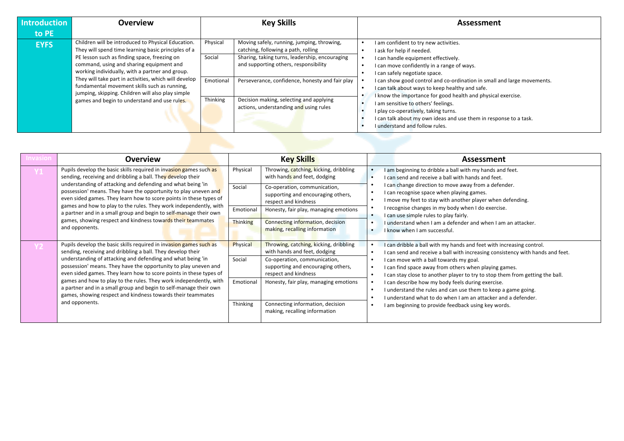| <b>Introduction</b> | <b>Overview</b>                                                                                                                                                                                                                                                                                                                                                                                                                                                        | <b>Key Skills</b>                                                                                                                                                                                                                                                                                                                                                   | Assessment                                                                                                                                                                                                                                                                                                                                                                                                                                                                                                                                                                   |
|---------------------|------------------------------------------------------------------------------------------------------------------------------------------------------------------------------------------------------------------------------------------------------------------------------------------------------------------------------------------------------------------------------------------------------------------------------------------------------------------------|---------------------------------------------------------------------------------------------------------------------------------------------------------------------------------------------------------------------------------------------------------------------------------------------------------------------------------------------------------------------|------------------------------------------------------------------------------------------------------------------------------------------------------------------------------------------------------------------------------------------------------------------------------------------------------------------------------------------------------------------------------------------------------------------------------------------------------------------------------------------------------------------------------------------------------------------------------|
| to PE               |                                                                                                                                                                                                                                                                                                                                                                                                                                                                        |                                                                                                                                                                                                                                                                                                                                                                     |                                                                                                                                                                                                                                                                                                                                                                                                                                                                                                                                                                              |
| <b>EYFS</b>         | Children will be introduced to Physical Education.<br>They will spend time learning basic principles of a<br>PE lesson such as finding space, freezing on<br>command, using and sharing equipment and<br>working individually, with a partner and group.<br>They will take part in activities, which will develop<br>fundamental movement skills such as running,<br>jumping, skipping. Children will also play simple<br>games and begin to understand and use rules. | Moving safely, running, jumping, throwing,<br>Physical<br>catching, following a path, rolling<br>Social<br>Sharing, taking turns, leadership, encouraging<br>and supporting others, responsibility<br>Emotional<br>Perseverance, confidence, honesty and fair play<br>Decision making, selecting and applying<br>Thinking<br>actions, understanding and using rules | I am confident to try new activities.<br>I ask for help if needed.<br>I can handle equipment effectively.<br>I can move confidently in a range of ways.<br>I can safely negotiate space.<br>I can show good control and co-ordination in small and large movements.<br>I can talk about ways to keep healthy and safe.<br>I know the importance for good health and physical exercise.<br>I am sensitive to others' feelings.<br>I play co-operatively, taking turns.<br>I can talk about my own ideas and use them in response to a task.<br>I understand and follow rules. |
|                     |                                                                                                                                                                                                                                                                                                                                                                                                                                                                        |                                                                                                                                                                                                                                                                                                                                                                     |                                                                                                                                                                                                                                                                                                                                                                                                                                                                                                                                                                              |

| nvasion | <b>Overview</b>                                                                                                                                                                                       |           | <b>Key Skills</b>                                                                          | <b>Assessment</b>                                                                                                                                                                   |
|---------|-------------------------------------------------------------------------------------------------------------------------------------------------------------------------------------------------------|-----------|--------------------------------------------------------------------------------------------|-------------------------------------------------------------------------------------------------------------------------------------------------------------------------------------|
|         | Pupils develop the basic skills required in invasion games such as<br>sending, receiving and dribbling a ball. They develop their                                                                     | Physical  | Throwing, catching, kicking, dribbling<br>with hands and feet, dodging                     | I am beginning to dribble a ball with my hands and feet.<br>I can send and receive a ball with hands and feet.                                                                      |
|         | understanding of attacking and defending and what being 'in<br>possession' means. They have the opportunity to play uneven and<br>even sided games. They learn how to score points in these types of  | Social    | Co-operation, communication,<br>supporting and encouraging others,<br>respect and kindness | I can change direction to move away from a defender.<br>I can recognise space when playing games.<br>I move my feet to stay with another player when defending.                     |
|         | games and how to play to the rules. They work independently, with<br>a partner and in a small group and begin to self-manage their own                                                                | Emotional | Honesty, fair play, managing emotions                                                      | I recognise changes in my body when I do exercise.<br>I can use simple rules to play fairly.                                                                                        |
|         | games, showing respect and kindness towards their teammates<br>and opponents.                                                                                                                         | Thinking  | Connecting information, decision<br>making, recalling information                          | I understand when I am a defender and when I am an attacker.<br>I know when I am successful.                                                                                        |
|         | Pupils develop the basic skills required in invasion games such as<br>sending, receiving and dribbling a ball. They develop their                                                                     | Physical  | Throwing, catching, kicking, dribbling<br>with hands and feet, dodging                     | I can dribble a ball with my hands and feet with increasing control.<br>I can send and receive a ball with increasing consistency with hands and feet.                              |
|         | understanding of attacking and defending and what being 'in<br>possession' means. They have the opportunity to play uneven and<br>even sided games. They learn how to score points in these types of  | Social    | Co-operation, communication,<br>supporting and encouraging others,<br>respect and kindness | I can move with a ball towards my goal.<br>I can find space away from others when playing games.<br>I can stay close to another player to try to stop them from getting the ball.   |
|         | games and how to play to the rules. They work independently, with<br>a partner and in a small group and begin to self-manage their own<br>games, showing respect and kindness towards their teammates | Emotional | Honesty, fair play, managing emotions                                                      | I can describe how my body feels during exercise.<br>I understand the rules and can use them to keep a game going.<br>I understand what to do when I am an attacker and a defender. |
|         | and opponents.                                                                                                                                                                                        | Thinking  | Connecting information, decision<br>making, recalling information                          | I am beginning to provide feedback using key words.                                                                                                                                 |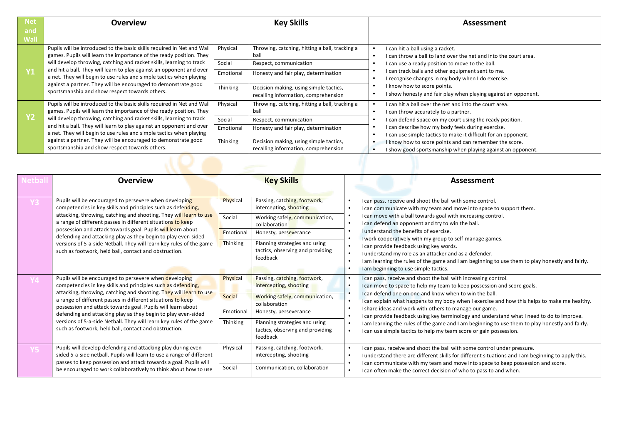| <b>Net</b>  | <b>Overview</b>                                                                                                                                                                                                                                                                                                                                                      |                                 | <b>Key Skills</b>                                                                                                        | Assessment                                                                                                                                                                                                                                                         |
|-------------|----------------------------------------------------------------------------------------------------------------------------------------------------------------------------------------------------------------------------------------------------------------------------------------------------------------------------------------------------------------------|---------------------------------|--------------------------------------------------------------------------------------------------------------------------|--------------------------------------------------------------------------------------------------------------------------------------------------------------------------------------------------------------------------------------------------------------------|
| and<br>Wall |                                                                                                                                                                                                                                                                                                                                                                      |                                 |                                                                                                                          |                                                                                                                                                                                                                                                                    |
| Υ1          | Pupils will be introduced to the basic skills required in Net and Wall<br>games. Pupils will learn the importance of the ready position. They<br>will develop throwing, catching and racket skills, learning to track<br>and hit a ball. They will learn to play against an opponent and over<br>a net. They will begin to use rules and simple tactics when playing | Physical<br>Social<br>Emotional | Throwing, catching, hitting a ball, tracking a<br>ball<br>Respect, communication<br>Honesty and fair play, determination | I can hit a ball using a racket.<br>I can throw a ball to land over the net and into the court area.<br>I can use a ready position to move to the ball.<br>I can track balls and other equipment sent to me.<br>I recognise changes in my body when I do exercise. |
|             | against a partner. They will be encouraged to demonstrate good<br>sportsmanship and show respect towards others.                                                                                                                                                                                                                                                     | Thinking                        | Decision making, using simple tactics,<br>recalling information, comprehension                                           | I know how to score points.<br>I show honesty and fair play when playing against an opponent.                                                                                                                                                                      |
|             | Pupils will be introduced to the basic skills required in Net and Wall<br>games. Pupils will learn the importance of the ready position. They                                                                                                                                                                                                                        | Physical                        | Throwing, catching, hitting a ball, tracking a<br>ball                                                                   | I can hit a ball over the net and into the court area.<br>I can throw accurately to a partner.                                                                                                                                                                     |
| Υ2          | will develop throwing, catching and racket skills, learning to track                                                                                                                                                                                                                                                                                                 | Social                          | Respect, communication                                                                                                   | I can defend space on my court using the ready position.                                                                                                                                                                                                           |
|             | and hit a ball. They will learn to play against an opponent and over<br>a net. They will begin to use rules and simple tactics when playing                                                                                                                                                                                                                          | Emotional                       | Honesty and fair play, determination                                                                                     | I can describe how my body feels during exercise.<br>I can use simple tactics to make it difficult for an opponent.                                                                                                                                                |
|             | against a partner. They will be encouraged to demonstrate good<br>sportsmanship and show respect towards others.                                                                                                                                                                                                                                                     | Thinking                        | Decision making, using simple tactics,<br>recalling information, comprehension                                           | I know how to score points and can remember the score.<br>I show good sportsmanship when playing against an opponent.                                                                                                                                              |
|             |                                                                                                                                                                                                                                                                                                                                                                      |                                 |                                                                                                                          |                                                                                                                                                                                                                                                                    |

| 의미개 | <b>Overview</b>                                                                                                                                                                                                                                                                                                                                                                                                                                                                                                             |                                             | <b>Key Skills</b>                                                                                                                                                                                                   | <b>Assessment</b>                                                                                                                                                                                                                                                                                                                                                                                                                                                                                                                                                                                                                                                                                                  |
|-----|-----------------------------------------------------------------------------------------------------------------------------------------------------------------------------------------------------------------------------------------------------------------------------------------------------------------------------------------------------------------------------------------------------------------------------------------------------------------------------------------------------------------------------|---------------------------------------------|---------------------------------------------------------------------------------------------------------------------------------------------------------------------------------------------------------------------|--------------------------------------------------------------------------------------------------------------------------------------------------------------------------------------------------------------------------------------------------------------------------------------------------------------------------------------------------------------------------------------------------------------------------------------------------------------------------------------------------------------------------------------------------------------------------------------------------------------------------------------------------------------------------------------------------------------------|
|     | Pupils will be encouraged to persevere when developing<br>competencies in key skills and principles such as defending,<br>attacking, throwing, catching and shooting. They will learn to use<br>a range of different passes in different situations to keep<br>possession and attack towards goal. Pupils will learn about<br>defending and attacking play as they begin to play even-sided<br>versions of 5-a-side Netball. They will learn key rules of the game<br>such as footwork, held ball, contact and obstruction. | Physical<br>Social<br>Emotional<br>Thinking | Passing, catching, footwork,<br>intercepting, shooting<br>Working safely, communication,<br>collaboration<br>Honesty, perseverance<br>Planning strategies and using<br>tactics, observing and providing<br>feedback | I can pass, receive and shoot the ball with some control.<br>$\bullet$<br>I can communicate with my team and move into space to support them.<br>$\bullet$<br>I can move with a ball towards goal with increasing control.<br>I can defend an opponent and try to win the ball.<br>$\bullet$<br>I understand the benefits of exercise.<br>$\bullet$<br>work cooperatively with my group to self-manage games.<br>I can provide feedback using key words.<br>$\bullet$<br>I understand my role as an attacker and as a defender.<br>$\bullet$<br>I am learning the rules of the game and I am beginning to use them to play honestly and fairly.<br>$\bullet$<br>I am beginning to use simple tactics.<br>$\bullet$ |
|     | Pupils will be encouraged to persevere when developing<br>competencies in key skills and principles such as defending,<br>attacking, throwing, catching and shooting. They will learn to use<br>a range of different passes in different situations to keep<br>possession and attack towards goal. Pupils will learn about<br>defending and attacking play as they begin to play even-sided<br>versions of 5-a-side Netball. They will learn key rules of the game<br>such as footwork, held ball, contact and obstruction. | Physical<br>Social<br>Emotional<br>Thinking | Passing, catching, footwork,<br>intercepting, shooting<br>Working safely, communication,<br>collaboration<br>Honesty, perseverance<br>Planning strategies and using<br>tactics, observing and providing<br>feedback | I can pass, receive and shoot the ball with increasing control.<br>$\bullet$<br>I can move to space to help my team to keep possession and score goals.<br>$\bullet$<br>I can defend one on one and know when to win the ball.<br>$\bullet$<br>I can explain what happens to my body when I exercise and how this helps to make me healthy.<br>I share ideas and work with others to manage our game.<br>$\bullet$<br>I can provide feedback using key terminology and understand what I need to do to improve.<br>I am learning the rules of the game and I am beginning to use them to play honestly and fairly.<br>$\bullet$<br>I can use simple tactics to help my team score or gain possession.<br>$\bullet$ |
|     | Pupils will develop defending and attacking play during even-<br>sided 5-a-side netball. Pupils will learn to use a range of different<br>passes to keep possession and attack towards a goal. Pupils will<br>be encouraged to work collaboratively to think about how to use                                                                                                                                                                                                                                               | Physical<br>Social                          | Passing, catching, footwork,<br>intercepting, shooting<br>Communication, collaboration                                                                                                                              | I can pass, receive and shoot the ball with some control under pressure.<br>$\bullet$<br>I understand there are different skills for different situations and I am beginning to apply this.<br>$\bullet$<br>I can communicate with my team and move into space to keep possession and score.<br>$\bullet$<br>I can often make the correct decision of who to pass to and when.<br>٠                                                                                                                                                                                                                                                                                                                                |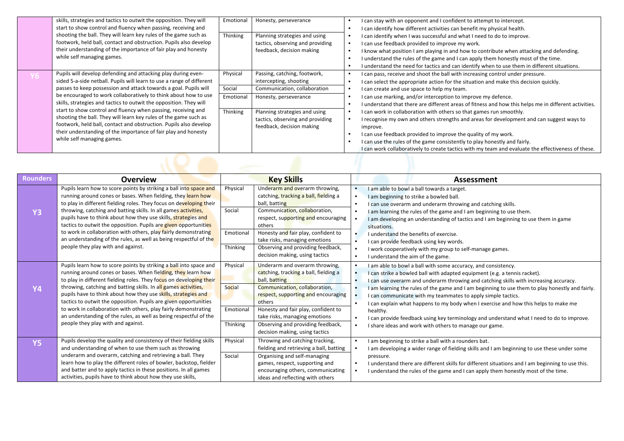|     | skills, strategies and tactics to outwit the opposition. They will<br>start to show control and fluency when passing, receiving and                                                                                                                                                                                                                                                                                  | Emotional                           | Honesty, perseverance                                                                                                                                                                                                                                                                                                                                                                                                             | $\bullet$<br>$\bullet$                                        | I can stay with an opponent and I confident to attempt to intercept.<br>I can identify how different activities can benefit my physical health.                                                                                                                                                                                                                                                     |
|-----|----------------------------------------------------------------------------------------------------------------------------------------------------------------------------------------------------------------------------------------------------------------------------------------------------------------------------------------------------------------------------------------------------------------------|-------------------------------------|-----------------------------------------------------------------------------------------------------------------------------------------------------------------------------------------------------------------------------------------------------------------------------------------------------------------------------------------------------------------------------------------------------------------------------------|---------------------------------------------------------------|-----------------------------------------------------------------------------------------------------------------------------------------------------------------------------------------------------------------------------------------------------------------------------------------------------------------------------------------------------------------------------------------------------|
|     | shooting the ball. They will learn key rules of the game such as<br>footwork, held ball, contact and obstruction. Pupils also develop<br>their understanding of the importance of fair play and honesty<br>while self managing games.                                                                                                                                                                                | Thinking                            | Planning strategies and using<br>tactics, observing and providing<br>feedback, decision making                                                                                                                                                                                                                                                                                                                                    | $\bullet$<br>$\bullet$<br>$\bullet$<br>$\bullet$<br>$\bullet$ | can identify when I was successful and what I need to do to improve.<br>can use feedback provided to improve my work.<br>I know what position I am playing in and how to contribute when attacking and defending.<br>understand the rules of the game and I can apply them honestly most of the time.<br>understand the need for tactics and can identify when to use them in different situations. |
| YO. | Pupils will develop defending and attacking play during even-<br>sided 5-a-side netball. Pupils will learn to use a range of different                                                                                                                                                                                                                                                                               | Physical                            | Passing, catching, footwork,<br>intercepting, shooting                                                                                                                                                                                                                                                                                                                                                                            | $\bullet$<br>$\bullet$                                        | I can pass, receive and shoot the ball with increasing control under pressure.<br>can select the appropriate action for the situation and make this decision quickly.                                                                                                                                                                                                                               |
|     | passes to keep possession and attack towards a goal. Pupils will                                                                                                                                                                                                                                                                                                                                                     | Social                              | Communication, collaboration                                                                                                                                                                                                                                                                                                                                                                                                      | $\bullet$                                                     | I can create and use space to help my team.                                                                                                                                                                                                                                                                                                                                                         |
|     | be encouraged to work collaboratively to think about how to use<br>skills, strategies and tactics to outwit the opposition. They will                                                                                                                                                                                                                                                                                | Emotional                           | Honesty, perseverance                                                                                                                                                                                                                                                                                                                                                                                                             | $\bullet$                                                     | I can use marking, and/or interception to improve my defence.<br>I understand that there are different areas of fitness and how this helps me in different activities.                                                                                                                                                                                                                              |
|     | start to show control and fluency when passing, receiving and<br>Thinking<br>Planning strategies and using<br>shooting the ball. They will learn key rules of the game such as<br>tactics, observing and providing<br>footwork, held ball, contact and obstruction. Pupils also develop<br>feedback, decision making<br>their understanding of the importance of fair play and honesty<br>while self managing games. | $\bullet$<br>$\bullet$<br>$\bullet$ | I can work in collaboration with others so that games run smoothly.<br>I recognise my own and others strengths and areas for development and can suggest ways to<br>improve.<br>I can use feedback provided to improve the quality of my work.<br>I can use the rules of the game consistently to play honestly and fairly.<br>I can work collaboratively to create tactics with my team and evaluate the effectiveness of these. |                                                               |                                                                                                                                                                                                                                                                                                                                                                                                     |
|     |                                                                                                                                                                                                                                                                                                                                                                                                                      |                                     |                                                                                                                                                                                                                                                                                                                                                                                                                                   |                                                               |                                                                                                                                                                                                                                                                                                                                                                                                     |

| <b>Rounders</b> | <b>Overview</b>                                                                                                                                                                                                                                                                                                                                                                                                                                                                                                                                                                                  |                                             | <b>Key Skills</b>                                                                                                                                                                                                                                                                                                         | <b>Assessment</b>                                                                                                                                                                                                                                                                                                                                                                                                                                                                                                                                                                                                                                                |
|-----------------|--------------------------------------------------------------------------------------------------------------------------------------------------------------------------------------------------------------------------------------------------------------------------------------------------------------------------------------------------------------------------------------------------------------------------------------------------------------------------------------------------------------------------------------------------------------------------------------------------|---------------------------------------------|---------------------------------------------------------------------------------------------------------------------------------------------------------------------------------------------------------------------------------------------------------------------------------------------------------------------------|------------------------------------------------------------------------------------------------------------------------------------------------------------------------------------------------------------------------------------------------------------------------------------------------------------------------------------------------------------------------------------------------------------------------------------------------------------------------------------------------------------------------------------------------------------------------------------------------------------------------------------------------------------------|
| <b>Y3</b>       | Pupils learn how to score points by striking a ball into space and<br>running around cones or bases. When fielding, they learn how<br>to play in different fielding roles. They focus on developing their<br>throwing, catching and batting skills. In all games activities,<br>pupils have to think about how they use skills, strategies and<br>tactics to outwit the opposition. Pupils are given opportunities<br>to work in collaboration with others, play fairly demonstrating                                                                                                            | Physical<br>Social<br>Emotional             | Underarm and overarm throwing,<br>catching, tracking a ball, fielding a<br>ball, batting<br>Communication, collaboration,<br>respect, supporting and encouraging<br>others<br>Honesty and fair play, confident to                                                                                                         | I am able to bowl a ball towards a target.<br>I am beginning to strike a bowled ball.<br>I can use overarm and underarm throwing and catching skills.<br>I am learning the rules of the game and I am beginning to use them.<br>I am developing an understanding of tactics and I am beginning to use them in game<br>situations.<br>I understand the benefits of exercise.                                                                                                                                                                                                                                                                                      |
|                 | an understanding of the rules, as well as being respectful of the<br>people they play with and against.                                                                                                                                                                                                                                                                                                                                                                                                                                                                                          | Thinking                                    | take risks, managing emotions<br>Observing and providing feedback,<br>decision making, using tactics                                                                                                                                                                                                                      | I can provide feedback using key words.<br>I work cooperatively with my group to self-manage games.<br>I understand the aim of the game.                                                                                                                                                                                                                                                                                                                                                                                                                                                                                                                         |
| <b>Y4</b>       | Pupils learn how to score points by striking a ball into space and<br>running around cones or bases. When fielding, they learn how<br>to play in different fielding roles. They focus on developing their<br>throwing, catching and batting skills. In all games activities,<br>pupils have to think about how they use skills, strategies and<br>tactics to outwit the opposition. Pupils are given opportunities<br>to work in collaboration with others, play fairly demonstrating<br>an understanding of the rules, as well as being respectful of the<br>people they play with and against. | Physical<br>Social<br>Emotional<br>Thinking | Underarm and overarm throwing,<br>catching, tracking a ball, fielding a<br>ball, batting<br>Communication, collaboration,<br>respect, supporting and encouraging<br>others<br>Honesty and fair play, confident to<br>take risks, managing emotions<br>Observing and providing feedback,<br>decision making, using tactics | I am able to bowl a ball with some accuracy, and consistency.<br>I can strike a bowled ball with adapted equipment (e.g. a tennis racket).<br>I can use overarm and underarm throwing and catching skills with increasing accuracy.<br>I am learning the rules of the game and I am beginning to use them to play honestly and fairly.<br>I can communicate with my teammates to apply simple tactics.<br>I can explain what happens to my body when I exercise and how this helps to make me<br>healthy.<br>I can provide feedback using key terminology and understand what I need to do to improve.<br>I share ideas and work with others to manage our game. |
| <b>Y5</b>       | Pupils develop the quality and consistency of their fielding skills<br>and understanding of when to use them such as throwing<br>underarm and overarm, catching and retrieving a ball. They<br>learn how to play the different roles of bowler, backstop, fielder<br>and batter and to apply tactics in these positions. In all games<br>activities, pupils have to think about how they use skills,                                                                                                                                                                                             | Physical<br>Social                          | Throwing and catching tracking,<br>fielding and retrieving a ball, batting<br>Organising and self-managing<br>games, respect, supporting and<br>encouraging others, communicating<br>ideas and reflecting with others                                                                                                     | I am beginning to strike a ball with a rounders bat.<br>I am developing a wider range of fielding skills and I am beginning to use these under some<br>pressure.<br>I understand there are different skills for different situations and I am beginning to use this.<br>I understand the rules of the game and I can apply them honestly most of the time.                                                                                                                                                                                                                                                                                                       |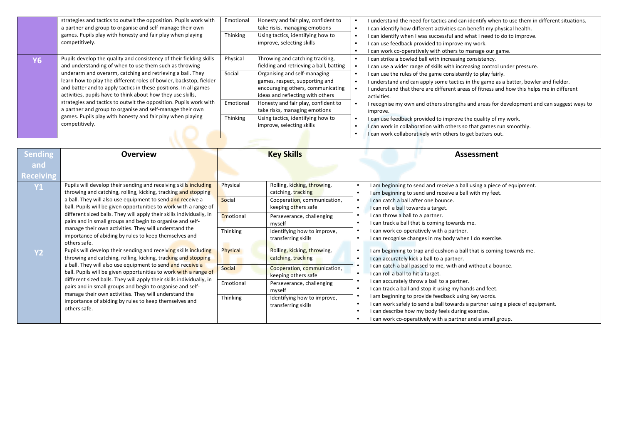|    | strategies and tactics to outwit the opposition. Pupils work with<br>a partner and group to organise and self-manage their own  | Emotional | Honesty and fair play, confident to<br>take risks, managing emotions  | I understand the need for tactics and can identify when to use them in different situations.<br>I can identify how different activities can benefit my physical health. |
|----|---------------------------------------------------------------------------------------------------------------------------------|-----------|-----------------------------------------------------------------------|-------------------------------------------------------------------------------------------------------------------------------------------------------------------------|
|    | games. Pupils play with honesty and fair play when playing<br>competitively.                                                    | Thinking  | Using tactics, identifying how to<br>improve, selecting skills        | I can identify when I was successful and what I need to do to improve.<br>I can use feedback provided to improve my work.                                               |
|    |                                                                                                                                 |           |                                                                       | I can work co-operatively with others to manage our game.                                                                                                               |
| Y6 | Pupils develop the quality and consistency of their fielding skills                                                             | Physical  | Throwing and catching tracking,                                       | I can strike a bowled ball with increasing consistency.                                                                                                                 |
|    | and understanding of when to use them such as throwing                                                                          |           | fielding and retrieving a ball, batting                               | I can use a wider range of skills with increasing control under pressure.                                                                                               |
|    | underarm and overarm, catching and retrieving a ball. They                                                                      | Social    | Organising and self-managing                                          | I can use the rules of the game consistently to play fairly.                                                                                                            |
|    | learn how to play the different roles of bowler, backstop, fielder                                                              |           | games, respect, supporting and                                        | I understand and can apply some tactics in the game as a batter, bowler and fielder.                                                                                    |
|    | and batter and to apply tactics in these positions. In all games<br>activities, pupils have to think about how they use skills, |           | encouraging others, communicating<br>ideas and reflecting with others | I understand that there are different areas of fitness and how this helps me in different<br>activities.                                                                |
|    | strategies and tactics to outwit the opposition. Pupils work with                                                               | Emotional | Honesty and fair play, confident to                                   | I recognise my own and others strengths and areas for development and can suggest ways to                                                                               |
|    | a partner and group to organise and self-manage their own                                                                       |           | take risks, managing emotions                                         | improve.                                                                                                                                                                |
|    | games. Pupils play with honesty and fair play when playing                                                                      | Thinking  | Using tactics, identifying how to                                     | I can use feedback provided to improve the quality of my work.                                                                                                          |
|    | competitively.                                                                                                                  |           | improve, selecting skills                                             | I can work in collaboration with others so that games run smoothly.                                                                                                     |
|    |                                                                                                                                 |           |                                                                       | I can work collaboratively with others to get batters out.                                                                                                              |

| Sending                 | <b>Overview</b>                                                                                                                                                                                                                                                                                                                                                                                                                                                                                                                             | <b>Key Skills</b>                                                                                                                                                                                                                                   | Assessment                                                                                                                                                                                                                                                                                                                                                                                                                                                                                                                                                                                     |
|-------------------------|---------------------------------------------------------------------------------------------------------------------------------------------------------------------------------------------------------------------------------------------------------------------------------------------------------------------------------------------------------------------------------------------------------------------------------------------------------------------------------------------------------------------------------------------|-----------------------------------------------------------------------------------------------------------------------------------------------------------------------------------------------------------------------------------------------------|------------------------------------------------------------------------------------------------------------------------------------------------------------------------------------------------------------------------------------------------------------------------------------------------------------------------------------------------------------------------------------------------------------------------------------------------------------------------------------------------------------------------------------------------------------------------------------------------|
| and<br><b>Receiving</b> |                                                                                                                                                                                                                                                                                                                                                                                                                                                                                                                                             |                                                                                                                                                                                                                                                     |                                                                                                                                                                                                                                                                                                                                                                                                                                                                                                                                                                                                |
| <b>Y1</b>               | Pupils will develop their sending and receiving skills including<br>throwing and catching, rolling, kicking, tracking and stopping<br>a ball. They will also use equipment to send and receive a<br>ball. Pupils will be given opportunities to work with a range of<br>different sized balls. They will apply their skills individually, in<br>pairs and in small groups and begin to organise and self-<br>manage their own activities. They will understand the<br>importance of abiding by rules to keep themselves and<br>others safe. | Rolling, kicking, throwing,<br>Physical<br>catching, tracking<br>Social<br>Cooperation, communication,<br>keeping others safe<br>Emotional<br>Perseverance, challenging<br>myself<br>Thinking<br>Identifying how to improve,<br>transferring skills | I am beginning to send and receive a ball using a piece of equipment.<br>I am beginning to send and receive a ball with my feet.<br>I can catch a ball after one bounce.<br>I can roll a ball towards a target.<br>I can throw a ball to a partner.<br>I can track a ball that is coming towards me.<br>I can work co-operatively with a partner.<br>I can recognise changes in my body when I do exercise.                                                                                                                                                                                    |
| <b>Y2</b>               | Pupils will develop their sending and receiving skills including<br>throwing and catching, rolling, kicking, tracking and stopping<br>a ball. They will also use equipment to send and receive a<br>ball. Pupils will be given opportunities to work with a range of<br>different sized balls. They will apply their skills individually, in<br>pairs and in small groups and begin to organise and self-<br>manage their own activities. They will understand the<br>importance of abiding by rules to keep themselves and<br>others safe. | Physical<br>Rolling, kicking, throwing,<br>catching, tracking<br>Social<br>Cooperation, communication,<br>keeping others safe<br>Emotional<br>Perseverance, challenging<br>myself<br>Thinking<br>Identifying how to improve,<br>transferring skills | I am beginning to trap and cushion a ball that is coming towards me.<br>I can accurately kick a ball to a partner.<br>I can catch a ball passed to me, with and without a bounce.<br>I can roll a ball to hit a target.<br>I can accurately throw a ball to a partner.<br>I can track a ball and stop it using my hands and feet.<br>I am beginning to provide feedback using key words.<br>I can work safely to send a ball towards a partner using a piece of equipment.<br>I can describe how my body feels during exercise.<br>I can work co-operatively with a partner and a small group. |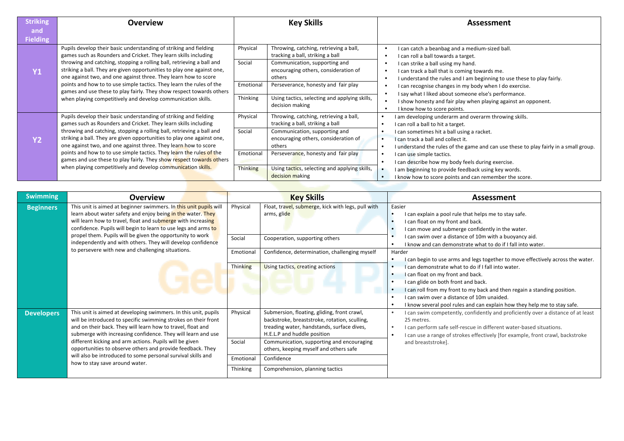| <b>Striking</b> | <b>Overview</b>                                                                                                                                                                                                                                                                                                                                            | <b>Key Skills</b>  |                                                                                                                                                               |                                     | Assessment                                                                                                                                                                                                                                             |
|-----------------|------------------------------------------------------------------------------------------------------------------------------------------------------------------------------------------------------------------------------------------------------------------------------------------------------------------------------------------------------------|--------------------|---------------------------------------------------------------------------------------------------------------------------------------------------------------|-------------------------------------|--------------------------------------------------------------------------------------------------------------------------------------------------------------------------------------------------------------------------------------------------------|
| and             |                                                                                                                                                                                                                                                                                                                                                            |                    |                                                                                                                                                               |                                     |                                                                                                                                                                                                                                                        |
| <b>Fielding</b> |                                                                                                                                                                                                                                                                                                                                                            |                    |                                                                                                                                                               |                                     |                                                                                                                                                                                                                                                        |
| Y1              | Pupils develop their basic understanding of striking and fielding<br>games such as Rounders and Cricket. They learn skills including<br>throwing and catching, stopping a rolling ball, retrieving a ball and<br>striking a ball. They are given opportunities to play one against one,<br>one against two, and one against three. They learn how to score | Physical<br>Social | Throwing, catching, retrieving a ball,<br>tracking a ball, striking a ball<br>Communication, supporting and<br>encouraging others, consideration of<br>others |                                     | I can catch a beanbag and a medium-sized ball.<br>I can roll a ball towards a target.<br>I can strike a ball using my hand.<br>I can track a ball that is coming towards me.<br>I understand the rules and I am beginning to use these to play fairly. |
|                 | points and how to to use simple tactics. They learn the rules of the<br>games and use these to play fairly. They show respect towards others                                                                                                                                                                                                               | Emotional          | Perseverance, honesty and fair play                                                                                                                           |                                     | I can recognise changes in my body when I do exercise.                                                                                                                                                                                                 |
|                 | when playing competitively and develop communication skills.                                                                                                                                                                                                                                                                                               | Thinking           | Using tactics, selecting and applying skills,<br>decision making                                                                                              |                                     | I say what I liked about someone else's performance.<br>I show honesty and fair play when playing against an opponent.<br>I know how to score points.                                                                                                  |
|                 | Pupils develop their basic understanding of striking and fielding<br>games such as Rounders and Cricket. They learn skills including                                                                                                                                                                                                                       | Physical           | Throwing, catching, retrieving a ball,<br>tracking a ball, striking a ball                                                                                    | $\bullet$                           | I am developing underarm and overarm throwing skills.<br>I can roll a ball to hit a target.                                                                                                                                                            |
| <b>Y2</b>       | throwing and catching, stopping a rolling ball, retrieving a ball and<br>striking a ball. They are given opportunities to play one against one,<br>one against two, and one against three. They learn how to score                                                                                                                                         | Social             | Communication, supporting and<br>encouraging others, consideration of<br>others                                                                               | $\bullet$<br>$\bullet$<br>$\bullet$ | I can sometimes hit a ball using a racket.<br>I can track a ball and collect it.<br>I understand the rules of the game and can use these to play fairly in a small group.                                                                              |
|                 | points and how to to use simple tactics. They learn the rules of the<br>games and use these to play fairly. They show respect towards others                                                                                                                                                                                                               | Emotional          | Perseverance, honesty and fair play                                                                                                                           |                                     | I can use simple tactics.<br>I can describe how my body feels during exercise.                                                                                                                                                                         |
|                 | when playing competitively and develop communication skills.                                                                                                                                                                                                                                                                                               | <b>Thinking</b>    | Using tactics, selecting and applying skills,<br>decision making                                                                                              | $\bullet$                           | I am beginning to provide feedback using key words.<br>I know how to score points and can remember the score.                                                                                                                                          |

| <b>Swimming</b>   | <b>Overview</b>                                                                                                                                                                                                                                                                                                                 |                     | <b>Key Skills</b>                                                                                                                                                         | <b>Assessment</b>                                                                                                                                                                                                                                                                                                                    |
|-------------------|---------------------------------------------------------------------------------------------------------------------------------------------------------------------------------------------------------------------------------------------------------------------------------------------------------------------------------|---------------------|---------------------------------------------------------------------------------------------------------------------------------------------------------------------------|--------------------------------------------------------------------------------------------------------------------------------------------------------------------------------------------------------------------------------------------------------------------------------------------------------------------------------------|
| <b>Beginners</b>  | This unit is aimed at beginner swimmers. In this unit pupils will<br>learn about water safety and enjoy being in the water. They<br>will learn how to travel, float and submerge with increasing<br>confidence. Pupils will begin to learn to use legs and arms to<br>propel them. Pupils will be given the opportunity to work | Physical<br>Social  | Float, travel, submerge, kick with legs, pull with<br>arms, glide<br>Cooperation, supporting others                                                                       | Easier<br>I can explain a pool rule that helps me to stay safe.<br>I can float on my front and back.<br>I can move and submerge confidently in the water.<br>I can swim over a distance of 10m with a buoyancy aid.                                                                                                                  |
|                   | independently and with others. They will develop confidence<br>to persevere with new and challenging situations.                                                                                                                                                                                                                |                     | Confidence, determination, challenging myself                                                                                                                             | I know and can demonstrate what to do if I fall into water.<br>Harder<br>I can begin to use arms and legs together to move effectively across the water.                                                                                                                                                                             |
|                   |                                                                                                                                                                                                                                                                                                                                 | Thinking            | Using tactics, creating actions                                                                                                                                           | I can demonstrate what to do if I fall into water.<br>I can float on my front and back.<br>I can glide on both front and back.<br>I can roll from my front to my back and then regain a standing position.<br>I can swim over a distance of 10m unaided.<br>I know several pool rules and can explain how they help me to stay safe. |
| <b>Developers</b> | This unit is aimed at developing swimmers. In this unit, pupils<br>will be introduced to specific swimming strokes on their front<br>and on their back. They will learn how to travel, float and<br>submerge with increasing confidence. They will learn and use                                                                | Physical            | Submersion, floating, gliding, front crawl,<br>backstroke, breaststroke, rotation, sculling,<br>treading water, handstands, surface dives,<br>H.E.L.P and huddle position | I can swim competently, confidently and proficiently over a distance of at least<br>25 metres.<br>I can perform safe self-rescue in different water-based situations.<br>I can use a range of strokes effectively [for example, front crawl, backstroke                                                                              |
|                   | different kicking and arm actions. Pupils will be given<br>opportunities to observe others and provide feedback. They<br>will also be introduced to some personal survival skills and                                                                                                                                           | Social<br>Emotional | Communication, supporting and encouraging<br>others, keeping myself and others safe                                                                                       | and breaststroke].                                                                                                                                                                                                                                                                                                                   |
|                   | how to stay save around water.<br>Thinking                                                                                                                                                                                                                                                                                      |                     | Confidence<br>Comprehension, planning tactics                                                                                                                             |                                                                                                                                                                                                                                                                                                                                      |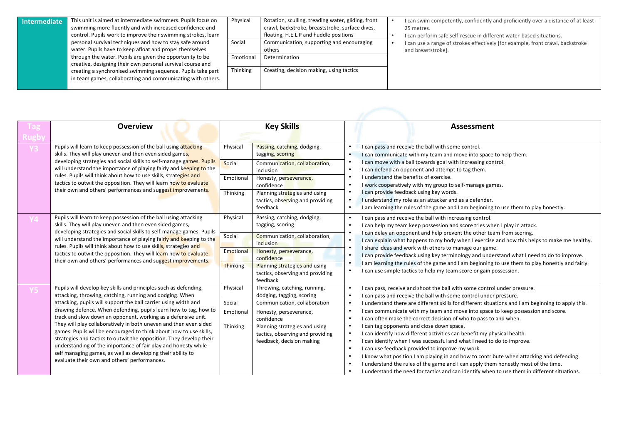| <b>Intermediate</b> | This unit is aimed at intermediate swimmers. Pupils focus on<br>swimming more fluently and with increased confidence and | Physical | Rotation, sculling, treading water, gliding, front<br>crawl, backstroke, breaststroke, surface dives, | I can swim competently, confidently and proficiently over a distance of at least<br>25 metres. |
|---------------------|--------------------------------------------------------------------------------------------------------------------------|----------|-------------------------------------------------------------------------------------------------------|------------------------------------------------------------------------------------------------|
|                     | control. Pupils work to improve their swimming strokes, learn                                                            |          | floating, H.E.L.P and huddle positions                                                                | I can perform safe self-rescue in different water-based situations.                            |
|                     | personal survival techniques and how to stay safe around                                                                 | Social   | Communication, supporting and encouraging                                                             | I can use a range of strokes effectively [for example, front crawl, backstroke                 |
|                     | water. Pupils have to keep afloat and propel themselves                                                                  |          | others                                                                                                | and breaststroke].                                                                             |
|                     | through the water. Pupils are given the opportunity to be                                                                | Emotiona | Determination                                                                                         |                                                                                                |
|                     | creative, designing their own personal survival course and                                                               |          |                                                                                                       |                                                                                                |
|                     | creating a synchronised swimming sequence. Pupils take part                                                              | Thinking | Creating, decision making, using tactics                                                              |                                                                                                |
|                     | in team games, collaborating and communicating with others.                                                              |          |                                                                                                       |                                                                                                |
|                     |                                                                                                                          |          |                                                                                                       |                                                                                                |

| <b>Overview</b>                                                                                                                                                                                                                                                                                                                                                                                                                                                                                                                                                                                                                                                                                                                         |                                                    | <b>Key Skills</b>                                                                                                                                                                                                                   |                                                                                                                                                          | Assessment                                                                                                                                                                                                                                                                                                                                                                                                                                                                                                                                                                                                                                                                                                                                                                                                                                                                                                                                          |
|-----------------------------------------------------------------------------------------------------------------------------------------------------------------------------------------------------------------------------------------------------------------------------------------------------------------------------------------------------------------------------------------------------------------------------------------------------------------------------------------------------------------------------------------------------------------------------------------------------------------------------------------------------------------------------------------------------------------------------------------|----------------------------------------------------|-------------------------------------------------------------------------------------------------------------------------------------------------------------------------------------------------------------------------------------|----------------------------------------------------------------------------------------------------------------------------------------------------------|-----------------------------------------------------------------------------------------------------------------------------------------------------------------------------------------------------------------------------------------------------------------------------------------------------------------------------------------------------------------------------------------------------------------------------------------------------------------------------------------------------------------------------------------------------------------------------------------------------------------------------------------------------------------------------------------------------------------------------------------------------------------------------------------------------------------------------------------------------------------------------------------------------------------------------------------------------|
| Pupils will learn to keep possession of the ball using attacking<br>skills. They will play uneven and then even sided games,<br>developing strategies and social skills to self-manage games. Pupils<br>will understand the importance of playing fairly and keeping to the<br>rules. Pupils will think about how to use skills, strategies and<br>tactics to outwit the opposition. They will learn how to evaluate<br>their own and others' performances and suggest improvements.                                                                                                                                                                                                                                                    | Physical<br>Social<br>Emotional<br>Thinking        | Passing, catching, dodging,<br>tagging, scoring<br>Communication, collaboration,<br>inclusion<br>Honesty, perseverance,<br>confidence<br>Planning strategies and using<br>tactics, observing and providing<br>feedback              | $\bullet$<br>$\bullet$<br>$\bullet$<br>$\bullet$<br>$\bullet$<br>$\bullet$<br>$\bullet$<br>$\bullet$<br>$\bullet$                                        | I can pass and receive the ball with some control.<br>I can communicate with my team and move into space to help them.<br>I can move with a ball towards goal with increasing control.<br>I can defend an opponent and attempt to tag them.<br>I understand the benefits of exercise.<br>I work cooperatively with my group to self-manage games.<br>I can provide feedback using key words.<br>I understand my role as an attacker and as a defender.<br>I am learning the rules of the game and I am beginning to use them to play honestly.                                                                                                                                                                                                                                                                                                                                                                                                      |
| Pupils will learn to keep possession of the ball using attacking<br>skills. They will play uneven and then even sided games,<br>developing strategies and social skills to self-manage games. Pupils<br>will understand the importance of playing fairly and keeping to the<br>rules. Pupils will think about how to use skills, strategies and<br>tactics to outwit the opposition. They will learn how to evaluate<br>their own and others' performances and suggest improvements.                                                                                                                                                                                                                                                    | Physical<br>Social<br>Emotional<br><b>Thinking</b> | Passing, catching, dodging,<br>tagging, scoring<br>Communication, collaboration,<br>inclusion<br>Honesty, perseverance,<br>confidence<br>Planning strategies and using<br>tactics, observing and providing<br>feedback              | $\bullet$<br>$\bullet$<br>$\bullet$<br>$\bullet$<br>$\bullet$<br>$\bullet$<br>$\bullet$                                                                  | I can pass and receive the ball with increasing control.<br>I can help my team keep possession and score tries when I play in attack.<br>I can delay an opponent and help prevent the other team from scoring.<br>I can explain what happens to my body when I exercise and how this helps to make me healthy.<br>I share ideas and work with others to manage our game.<br>I can provide feedback using key terminology and understand what I need to do to improve.<br>I am learning the rules of the game and I am beginning to use them to play honestly and fairly.<br>I can use simple tactics to help my team score or gain possession.                                                                                                                                                                                                                                                                                                      |
| Pupils will develop key skills and principles such as defending,<br>attacking, throwing, catching, running and dodging. When<br>attacking, pupils will support the ball carrier using width and<br>drawing defence. When defending, pupils learn how to tag, how to<br>track and slow down an opponent, working as a defensive unit.<br>They will play collaboratively in both uneven and then even sided<br>games. Pupils will be encouraged to think about how to use skills,<br>strategies and tactics to outwit the opposition. They develop their<br>understanding of the importance of fair play and honesty while<br>self managing games, as well as developing their ability to<br>evaluate their own and others' performances. | Physical<br>Social<br>Emotional<br>Thinking        | Throwing, catching, running,<br>dodging, tagging, scoring<br>Communication, collaboration<br>Honesty, perseverance,<br>confidence<br>Planning strategies and using<br>tactics, observing and providing<br>feedback, decision making | $\bullet$<br>$\bullet$<br>$\bullet$<br>$\bullet$<br>$\bullet$<br>$\bullet$<br>$\bullet$<br>$\bullet$<br>$\bullet$<br>$\bullet$<br>$\bullet$<br>$\bullet$ | I can pass, receive and shoot the ball with some control under pressure.<br>I can pass and receive the ball with some control under pressure.<br>I understand there are different skills for different situations and I am beginning to apply this.<br>I can communicate with my team and move into space to keep possession and score.<br>I can often make the correct decision of who to pass to and when.<br>I can tag opponents and close down space.<br>I can identify how different activities can benefit my physical health.<br>I can identify when I was successful and what I need to do to improve.<br>I can use feedback provided to improve my work.<br>I know what position I am playing in and how to contribute when attacking and defending.<br>I understand the rules of the game and I can apply them honestly most of the time.<br>I understand the need for tactics and can identify when to use them in different situations. |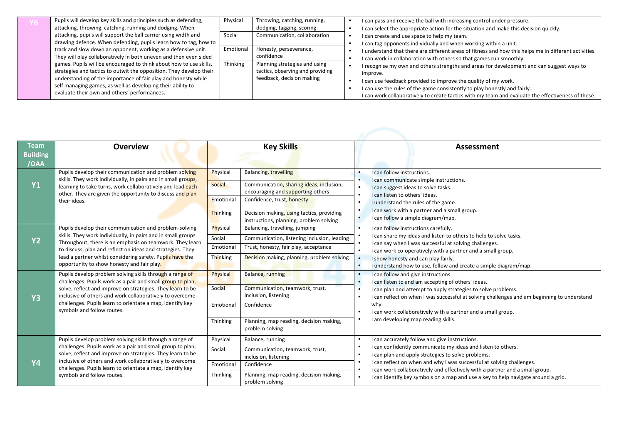| Pupils will develop key skills and principles such as defending,<br>attacking, throwing, catching, running and dodging. When                                                                                                                                                                                               | Physical  | Throwing, catching, running,<br>dodging, tagging, scoring                                                  |                                                                                                                                                                                                                                                                                                                                                | I can pass and receive the ball with increasing control under pressure.<br>I can select the appropriate action for the situation and make this decision quickly.             |
|----------------------------------------------------------------------------------------------------------------------------------------------------------------------------------------------------------------------------------------------------------------------------------------------------------------------------|-----------|------------------------------------------------------------------------------------------------------------|------------------------------------------------------------------------------------------------------------------------------------------------------------------------------------------------------------------------------------------------------------------------------------------------------------------------------------------------|------------------------------------------------------------------------------------------------------------------------------------------------------------------------------|
| attacking, pupils will support the ball carrier using width and<br>drawing defence. When defending, pupils learn how to tag, how to                                                                                                                                                                                        | Social    | Communication, collaboration                                                                               |                                                                                                                                                                                                                                                                                                                                                | I can create and use space to help my team.<br>I can tag opponents individually and when working within a unit.                                                              |
| track and slow down an opponent, working as a defensive unit.<br>They will play collaboratively in both uneven and then even sided                                                                                                                                                                                         | Emotional | Honesty, perseverance,<br>confidence                                                                       |                                                                                                                                                                                                                                                                                                                                                | I understand that there are different areas of fitness and how this helps me in different activities.<br>I can work in collaboration with others so that games run smoothly. |
| games. Pupils will be encouraged to think about how to use skills,<br>strategies and tactics to outwit the opposition. They develop their<br>understanding of the importance of fair play and honesty while<br>self managing games, as well as developing their ability to<br>evaluate their own and others' performances. | Thinking  | Planning strategies and using<br>tactics, observing and providing<br>improve.<br>feedback, decision making | I recognise my own and others strengths and areas for development and can suggest ways to<br>I can use feedback provided to improve the quality of my work.<br>I can use the rules of the game consistently to play honestly and fairly.<br>I can work collaboratively to create tactics with my team and evaluate the effectiveness of these. |                                                                                                                                                                              |

| <b>Team</b>     | <b>Overview</b>                                                                                                                                                                          |                         | <b>Key Skills</b>                                                             |           | <b>Assessment</b>                                                                                                                                                 |
|-----------------|------------------------------------------------------------------------------------------------------------------------------------------------------------------------------------------|-------------------------|-------------------------------------------------------------------------------|-----------|-------------------------------------------------------------------------------------------------------------------------------------------------------------------|
| <b>Building</b> |                                                                                                                                                                                          |                         |                                                                               |           |                                                                                                                                                                   |
| /OAA            |                                                                                                                                                                                          |                         |                                                                               |           |                                                                                                                                                                   |
|                 | Pupils develop their communication and problem solving                                                                                                                                   | Physical                | <b>Balancing, travelling</b>                                                  | $\bullet$ | I can follow instructions.                                                                                                                                        |
| Y1              | skills. They work individually, in pairs and in small groups,<br>learning to take turns, work collaboratively and lead each<br>other. They are given the opportunity to discuss and plan | Social                  | Communication, sharing ideas, inclusion,<br>encouraging and supporting others | $\bullet$ | I can communicate simple instructions.<br>I can suggest ideas to solve tasks.<br>I can listen to others' ideas.                                                   |
|                 | their ideas.                                                                                                                                                                             | Emotional               | Confidence, trust, honesty                                                    | $\bullet$ | I understand the rules of the game.                                                                                                                               |
|                 |                                                                                                                                                                                          | Thinking                | Decision making, using tactics, providing                                     | $\bullet$ | I can work with a partner and a small group.                                                                                                                      |
|                 |                                                                                                                                                                                          |                         | instructions, planning, problem solving                                       | $\bullet$ | I can follow a simple diagram/map.                                                                                                                                |
|                 | Pupils develop their communication and problem-solving                                                                                                                                   | Physical                | Balancing, travelling, jumping                                                | $\bullet$ | I can follow instructions carefully.                                                                                                                              |
| <b>Y2</b>       | skills. They work individually, in pairs and in small groups.<br>Throughout, there is an emphasis on teamwork. They learn                                                                | Social                  | Communication, listening inclusion, leading                                   |           | I can share my ideas and listen to others to help to solve tasks.                                                                                                 |
|                 | to discuss, plan and reflect on ideas and strategies. They                                                                                                                               | Emotional               | Trust, honesty, fair play, acceptance                                         |           | I can say when I was successful at solving challenges.<br>I can work co-operatively with a partner and a small group.                                             |
|                 | lead a partner whilst considering safety. Pupils have the                                                                                                                                | Thinking                | Decision making, planning, problem solving                                    |           | I show honesty and can play fairly.                                                                                                                               |
|                 | opportunity to show honesty and fair play.                                                                                                                                               |                         |                                                                               | $\bullet$ | I understand how to use, follow and create a simple diagram/map.                                                                                                  |
|                 | Pupils develop problem solving skills through a range of                                                                                                                                 | Physical                | Balance, running                                                              | $\bullet$ | I can follow and give instructions.                                                                                                                               |
|                 | challenges. Pupils work as a pair and small group to plan,                                                                                                                               |                         |                                                                               | $\bullet$ | I can listen to and am accepting of others' ideas.                                                                                                                |
|                 | solve, reflect and improve on strategies. They learn to be<br>inclusive of others and work collaboratively to overcome                                                                   | Social                  | Communication, teamwork, trust,<br>inclusion, listening                       | $\bullet$ | I can plan and attempt to apply strategies to solve problems.                                                                                                     |
| <b>Y3</b>       | challenges. Pupils learn to orientate a map, identify key                                                                                                                                | Emotional               | Confidence                                                                    |           | I can reflect on when I was successful at solving challenges and am beginning to understand<br>why.                                                               |
|                 | symbols and follow routes.                                                                                                                                                               |                         |                                                                               |           | I can work collaboratively with a partner and a small group.                                                                                                      |
|                 |                                                                                                                                                                                          | Thinking                | Planning, map reading, decision making,                                       | $\bullet$ | I am developing map reading skills.                                                                                                                               |
|                 |                                                                                                                                                                                          |                         | problem solving                                                               |           |                                                                                                                                                                   |
|                 | Pupils develop problem solving skills through a range of                                                                                                                                 | Physical                | Balance, running                                                              | $\bullet$ | I can accurately follow and give instructions.                                                                                                                    |
|                 | challenges. Pupils work as a pair and small group to plan,                                                                                                                               | Social                  | Communication, teamwork, trust,                                               |           | I can confidently communicate my ideas and listen to others.                                                                                                      |
|                 | solve, reflect and improve on strategies. They learn to be                                                                                                                               |                         | inclusion, listening                                                          |           | I can plan and apply strategies to solve problems.<br>$\bullet$<br>I can reflect on when and why I was successful at solving challenges.<br>$\bullet$             |
| <b>Y4</b>       | inclusive of others and work collaboratively to overcome<br>challenges. Pupils learn to orientate a map, identify key                                                                    | Confidence<br>Emotional |                                                                               |           |                                                                                                                                                                   |
|                 | symbols and follow routes.                                                                                                                                                               | Thinking                | Planning, map reading, decision making,                                       |           | I can work collaboratively and effectively with a partner and a small group.<br>I can identify key symbols on a map and use a key to help navigate around a grid. |
|                 |                                                                                                                                                                                          |                         | problem solving                                                               |           |                                                                                                                                                                   |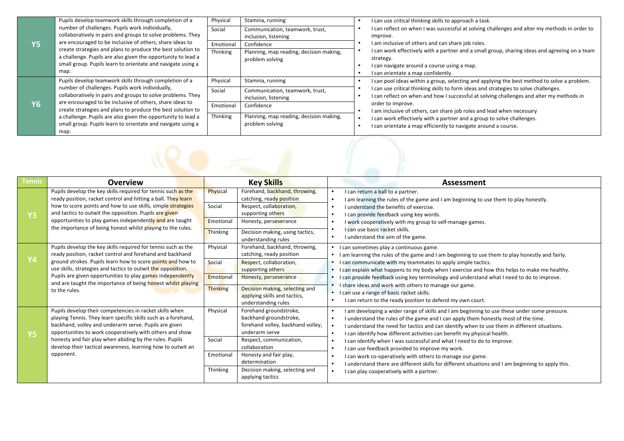|           | Pupils develop teamwork skills through completion of a                                                                  | Physical              | Stamina, running                                        | I can use critical thinking skills to approach a task.                                                                                             |
|-----------|-------------------------------------------------------------------------------------------------------------------------|-----------------------|---------------------------------------------------------|----------------------------------------------------------------------------------------------------------------------------------------------------|
|           | number of challenges. Pupils work individually,<br>collaboratively in pairs and groups to solve problems. They          | Social                | Communication, teamwork, trust,<br>inclusion, listening | I can reflect on when I was successful at solving challenges and alter my methods in order to<br>improve.                                          |
| Y5        | are encouraged to be inclusive of others, share ideas to<br>create strategies and plans to produce the best solution to | Emotional<br>Thinking | Confidence<br>Planning, map reading, decision making,   | I am inclusive of others and can share job roles.<br>I can work effectively with a partner and a small group, sharing ideas and agreeing on a team |
|           | a challenge. Pupils are also given the opportunity to lead a                                                            |                       | problem solving                                         | strategy.                                                                                                                                          |
|           | small group. Pupils learn to orientate and navigate using a                                                             |                       |                                                         | I can navigate around a course using a map.                                                                                                        |
|           | map.                                                                                                                    |                       |                                                         | I can orientate a map confidently.                                                                                                                 |
|           | Pupils develop teamwork skills through completion of a                                                                  | Physical              | Stamina, running                                        | I can pool ideas within a group, selecting and applying the best method to solve a problem.                                                        |
|           | number of challenges. Pupils work individually,                                                                         | Social                | Communication, teamwork, trust,                         | I can use critical thinking skills to form ideas and strategies to solve challenges.                                                               |
|           | collaboratively in pairs and groups to solve problems. They                                                             |                       | inclusion, listening                                    | I can reflect on when and how I successful at solving challenges and alter my methods in                                                           |
| <b>Y6</b> | are encouraged to be inclusive of others, share ideas to<br>create strategies and plans to produce the best solution to | Emotional             | Confidence                                              | order to improve.<br>I am inclusive of others, can share job roles and lead when necessary                                                         |
|           | a challenge. Pupils are also given the opportunity to lead a                                                            | Thinking              | Planning, map reading, decision making,                 | I can work effectively with a partner and a group to solve challenges.                                                                             |
|           | small group. Pupils learn to orientate and navigate using a                                                             |                       | problem solving                                         | I can orientate a map efficiently to navigate around a course.                                                                                     |
|           | map.                                                                                                                    |                       |                                                         |                                                                                                                                                    |

| <b>Tennis</b> | <b>Overview</b>                                                                                                                                                                                                                                                                                                                                                                                         | <b>Key Skills</b>                                                                                                                                                                                                                                                                                                          | <b>Assessment</b>                                                                                                                                                                                                                                                                                                                                                                                                                                                                                                                                                                                                                                                                                                                                             |
|---------------|---------------------------------------------------------------------------------------------------------------------------------------------------------------------------------------------------------------------------------------------------------------------------------------------------------------------------------------------------------------------------------------------------------|----------------------------------------------------------------------------------------------------------------------------------------------------------------------------------------------------------------------------------------------------------------------------------------------------------------------------|---------------------------------------------------------------------------------------------------------------------------------------------------------------------------------------------------------------------------------------------------------------------------------------------------------------------------------------------------------------------------------------------------------------------------------------------------------------------------------------------------------------------------------------------------------------------------------------------------------------------------------------------------------------------------------------------------------------------------------------------------------------|
| <b>Y3</b>     | Pupils develop the key skills required for tennis such as the<br>ready position, racket control and hitting a ball. They learn<br>how to score points and how to use skills, simple strategies<br>and tactics to outwit the opposition. Pupils are given                                                                                                                                                | Forehand, backhand, throwing,<br>Physical<br>catching, ready position<br>Social<br>Respect, collaboration,<br>supporting others                                                                                                                                                                                            | I can return a ball to a partner.<br>I am learning the rules of the game and I am beginning to use them to play honestly.<br>$\bullet$<br>I understand the benefits of exercise.<br>I can provide feedback using key words.<br>$\bullet$                                                                                                                                                                                                                                                                                                                                                                                                                                                                                                                      |
|               | opportunities to play games independently and are taught<br>the importance of being honest whilst playing to the rules.                                                                                                                                                                                                                                                                                 | Emotional<br>Honesty, perseverance<br>Thinking<br>Decision making, using tactics,<br>understanding rules                                                                                                                                                                                                                   | I work cooperatively with my group to self-manage games.<br>$\bullet$<br>I can use basic racket skills.<br>I understand the aim of the game.<br>$\bullet$                                                                                                                                                                                                                                                                                                                                                                                                                                                                                                                                                                                                     |
| Υ4            | Pupils develop the key skills required for tennis such as the<br>ready position, racket control and forehand and backhand<br>ground strokes. Pupils learn how to score points and how to<br>use skills, strategies and tactics to outwit the opposition.<br>Pupils are given opportunities to play games independently<br>and are taught the importance of being honest whilst playing<br>to the rules. | Physical<br>Forehand, backhand, throwing,<br>catching, ready position<br>Social<br>Respect, collaboration,<br>supporting others<br>Emotional<br>Honesty, perseverance<br><b>Thinking</b><br>Decision making, selecting and<br>applying skills and tactics,                                                                 | I can sometimes play a continuous game.<br>• I am learning the rules of the game and I am beginning to use them to play honestly and fairly.<br>• I can communicate with my teammates to apply simple tactics.<br>• I can explain what happens to my body when I exercise and how this helps to make me healthy.<br>I can provide feedback using key terminology and understand what I need to do to improve.<br>I share ideas and work with others to manage our game.<br>• I can use a range of basic racket skills.<br>I can return to the ready position to defend my own court.                                                                                                                                                                          |
| <b>Y5</b>     | Pupils develop their competencies in racket skills when<br>playing Tennis. They learn specific skills such as a forehand,<br>backhand, volley and underarm serve. Pupils are given<br>opportunities to work cooperatively with others and show<br>honesty and fair play when abiding by the rules. Pupils<br>develop their tactical awareness, learning how to outwit an<br>opponent.                   | understanding rules<br>Forehand groundstroke,<br>Physical<br>backhand groundstroke,<br>forehand volley, backhand volley,<br>underarm serve<br>Social<br>Respect, communication,<br>collaboration<br>Honesty and fair play,<br>Emotional<br>determination<br>Thinking<br>Decision making, selecting and<br>applying tactics | I am developing a wider range of skills and I am beginning to use these under some pressure.<br>$\bullet$<br>I understand the rules of the game and I can apply them honestly most of the time.<br>$\bullet$<br>I understand the need for tactics and can identify when to use them in different situations.<br>$\bullet$<br>I can identify how different activities can benefit my physical health.<br>$\bullet$<br>I can identify when I was successful and what I need to do to improve.<br>I can use feedback provided to improve my work.<br>I can work co-operatively with others to manage our game.<br>I understand there are different skills for different situations and I am beginning to apply this.<br>I can play cooperatively with a partner. |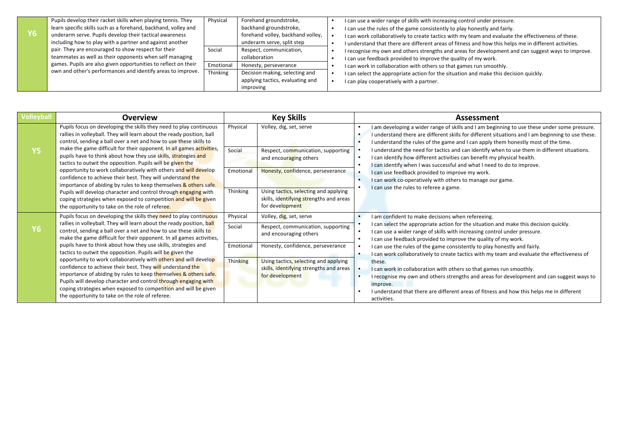|    | Pupils develop their racket skills when playing tennis. They   | Physical  | Forehand groundstroke,            | I can use a wider range of skills with increasing control under pressure.                             |
|----|----------------------------------------------------------------|-----------|-----------------------------------|-------------------------------------------------------------------------------------------------------|
|    | learn specific skills such as a forehand, backhand, volley and |           | backhand groundstroke,            | I can use the rules of the game consistently to play honestly and fairly.                             |
| Y6 | underarm serve. Pupils develop their tactical awareness        |           | forehand volley, backhand volley, | I can work collaboratively to create tactics with my team and evaluate the effectiveness of these.    |
|    | including how to play with a partner and against another       |           | underarm serve, split step        | I understand that there are different areas of fitness and how this helps me in different activities. |
|    | pair. They are encouraged to show respect for their            | Social    | Respect, communication,           | I recognise my own and others strengths and areas for development and can suggest ways to improve.    |
|    | teammates as well as their opponents when self managing        |           | collaboration                     | I can use feedback provided to improve the quality of my work.                                        |
|    | games. Pupils are also given opportunities to reflect on their | Emotional | Honesty, perseverance             | I can work in collaboration with others so that games run smoothly.                                   |
|    | own and other's performances and identify areas to improve.    | Thinking  | Decision making, selecting and    | I can select the appropriate action for the situation and make this decision quickly.                 |
|    |                                                                |           | applying tactics, evaluating and  | I can play cooperatively with a partner.                                                              |
|    |                                                                |           | improving                         |                                                                                                       |

| <b>Volleyball</b> | <b>Overview</b>                                                                                                                                                                                                                                                                                                                                                                                                                                                                                                                                                                                                                                                                                                                                                                                                         | <b>Key Skills</b>                                                                                             |                                                                                                                                                                                                                                                                                                                                                                                         | Assessment                                                                                                                                                                                                                                                                                                                                                                                                                                                                                                                                                                                                                                                                                                                                                                               |
|-------------------|-------------------------------------------------------------------------------------------------------------------------------------------------------------------------------------------------------------------------------------------------------------------------------------------------------------------------------------------------------------------------------------------------------------------------------------------------------------------------------------------------------------------------------------------------------------------------------------------------------------------------------------------------------------------------------------------------------------------------------------------------------------------------------------------------------------------------|---------------------------------------------------------------------------------------------------------------|-----------------------------------------------------------------------------------------------------------------------------------------------------------------------------------------------------------------------------------------------------------------------------------------------------------------------------------------------------------------------------------------|------------------------------------------------------------------------------------------------------------------------------------------------------------------------------------------------------------------------------------------------------------------------------------------------------------------------------------------------------------------------------------------------------------------------------------------------------------------------------------------------------------------------------------------------------------------------------------------------------------------------------------------------------------------------------------------------------------------------------------------------------------------------------------------|
| <b>Y5</b>         | Pupils focus on developing the skills they need to play continuous<br>rallies in volleyball. They will learn about the ready position, ball<br>control, sending a ball over a net and how to use these skills to<br>make the game difficult for their opponent. In all games activities,<br>pupils have to think about how they use skills, strategies and                                                                                                                                                                                                                                                                                                                                                                                                                                                              | Physical<br>Volley, dig, set, serve<br>$\bullet$<br>$\bullet$<br>Social<br>Respect, communication, supporting | I am developing a wider range of skills and I am beginning to use these under some pressure.<br>I understand there are different skills for different situations and I am beginning to use these.<br>I understand the rules of the game and I can apply them honestly most of the time.<br>I understand the need for tactics and can identify when to use them in different situations. |                                                                                                                                                                                                                                                                                                                                                                                                                                                                                                                                                                                                                                                                                                                                                                                          |
|                   | tactics to outwit the opposition. Pupils will be given the<br>opportunity to work collaboratively with others and will develop<br>confidence to achieve their best. They will understand the<br>importance of abiding by rules to keep themselves & others safe.<br>Pupils will develop character and control through engaging with<br>coping strategies when exposed to competition and will be given<br>the opportunity to take on the role of referee.                                                                                                                                                                                                                                                                                                                                                               | Emotional                                                                                                     | and encouraging others<br>Honesty, confidence, perseverance                                                                                                                                                                                                                                                                                                                             | I can identify how different activities can benefit my physical health.<br>I can identify when I was successful and what I need to do to improve.<br>I can use feedback provided to improve my work.<br>I can work co-operatively with others to manage our game.<br>$\bullet$<br>I can use the rules to referee a game.                                                                                                                                                                                                                                                                                                                                                                                                                                                                 |
|                   |                                                                                                                                                                                                                                                                                                                                                                                                                                                                                                                                                                                                                                                                                                                                                                                                                         | Thinking                                                                                                      | Using tactics, selecting and applying<br>skills, identifying strengths and areas<br>for development                                                                                                                                                                                                                                                                                     |                                                                                                                                                                                                                                                                                                                                                                                                                                                                                                                                                                                                                                                                                                                                                                                          |
| <b>Y6</b>         | Pupils focus on developing the skills they need to play continuous<br>rallies in volleyball. They will learn about the ready position, ball<br>control, sending a ball over a net and how to use these skills to<br>make the game difficult for their opponent. In all games activities,<br>pupils have to think about how they use skills, strategies and<br>tactics to outwit the opposition. Pupils will be given the<br>opportunity to work collaboratively with others and will develop<br>confidence to achieve their best. They will understand the<br>importance of abiding by rules to keep themselves & others safe.<br>Pupils will develop character and control through engaging with<br>coping strategies when exposed to competition and will be given<br>the opportunity to take on the role of referee. | Physical                                                                                                      | Volley, dig, set, serve                                                                                                                                                                                                                                                                                                                                                                 | I am confident to make decisions when refereeing.<br>$\bullet$<br>I can select the appropriate action for the situation and make this decision quickly.<br>I can use a wider range of skills with increasing control under pressure.<br>I can use feedback provided to improve the quality of my work.<br>I can use the rules of the game consistently to play honestly and fairly.<br>I can work collaboratively to create tactics with my team and evaluate the effectiveness of<br>these.<br>I can work in collaboration with others so that games run smoothly.<br>I recognise my own and others strengths and areas for development and can suggest ways to<br>improve.<br>I understand that there are different areas of fitness and how this helps me in different<br>activities. |
|                   |                                                                                                                                                                                                                                                                                                                                                                                                                                                                                                                                                                                                                                                                                                                                                                                                                         | Social                                                                                                        | Respect, communication, supporting<br>and encouraging others                                                                                                                                                                                                                                                                                                                            |                                                                                                                                                                                                                                                                                                                                                                                                                                                                                                                                                                                                                                                                                                                                                                                          |
|                   |                                                                                                                                                                                                                                                                                                                                                                                                                                                                                                                                                                                                                                                                                                                                                                                                                         | Emotional                                                                                                     | Honesty, confidence, perseverance                                                                                                                                                                                                                                                                                                                                                       |                                                                                                                                                                                                                                                                                                                                                                                                                                                                                                                                                                                                                                                                                                                                                                                          |
|                   |                                                                                                                                                                                                                                                                                                                                                                                                                                                                                                                                                                                                                                                                                                                                                                                                                         | Thinking                                                                                                      | Using tactics, selecting and applying<br>skills, identifying strengths and areas<br>for development                                                                                                                                                                                                                                                                                     |                                                                                                                                                                                                                                                                                                                                                                                                                                                                                                                                                                                                                                                                                                                                                                                          |